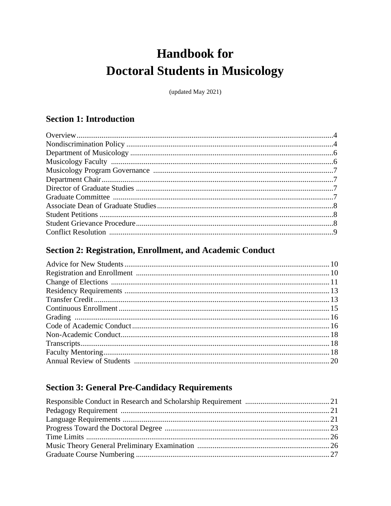# **Handbook** for **Doctoral Students in Musicology**

(updated May 2021)

## **Section 1: Introduction**

## Section 2: Registration, Enrollment, and Academic Conduct

## **Section 3: General Pre-Candidacy Requirements**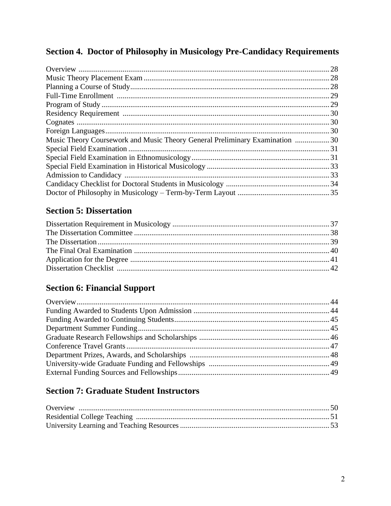## Section 4. Doctor of Philosophy in Musicology Pre-Candidacy Requirements

| Music Theory Coursework and Music Theory General Preliminary Examination  30 |  |
|------------------------------------------------------------------------------|--|
|                                                                              |  |
|                                                                              |  |
|                                                                              |  |
|                                                                              |  |
|                                                                              |  |
|                                                                              |  |

## **Section 5: Dissertation**

## **Section 6: Financial Support**

## **Section 7: Graduate Student Instructors**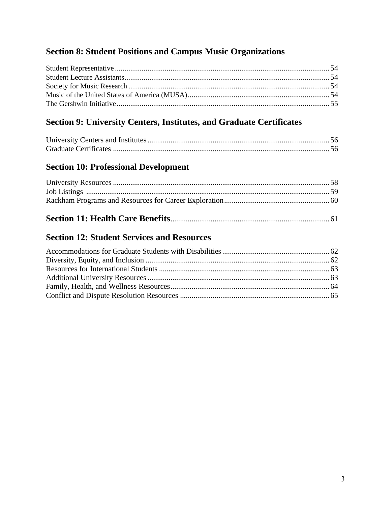## **Section 8: Student Positions and Campus Music Organizations**

## **Section 9: University Centers, Institutes, and Graduate Certificates**

## **Section 10: Professional Development**

## **Section 12: Student Services and Resources**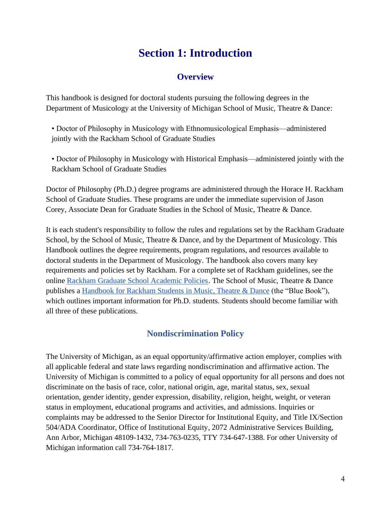## **Section 1: Introduction**

### **Overview**

This handbook is designed for doctoral students pursuing the following degrees in the Department of Musicology at the University of Michigan School of Music, Theatre & Dance:

- Doctor of Philosophy in Musicology with Ethnomusicological Emphasis—administered jointly with the Rackham School of Graduate Studies
- Doctor of Philosophy in Musicology with Historical Emphasis—administered jointly with the Rackham School of Graduate Studies

Doctor of Philosophy (Ph.D.) degree programs are administered through the Horace H. Rackham School of Graduate Studies. These programs are under the immediate supervision of Jason Corey, Associate Dean for Graduate Studies in the School of Music, Theatre & Dance.

It is each student's responsibility to follow the rules and regulations set by the Rackham Graduate School, by the School of Music, Theatre & Dance, and by the Department of Musicology. This Handbook outlines the degree requirements, program regulations, and resources available to doctoral students in the Department of Musicology. The handbook also covers many key requirements and policies set by Rackham. For a complete set of Rackham guidelines, see the online [Rackham Graduate School Academic Policies.](https://rackham.umich.edu/academic-policies/) The School of Music, Theatre & Dance publishes a [Handbook for Rackham Students in Music, Theatre & Dance](https://docs.google.com/document/d/1s4DbRkOQ58cd4KY1aOy0Uxtn2qPaU9nYCfmiXwuYS1o/edit) (the "Blue Book"), which outlines important information for Ph.D. students. Students should become familiar with all three of these publications.

## **Nondiscrimination Policy**

The University of Michigan, as an equal opportunity/affirmative action employer, complies with all applicable federal and state laws regarding nondiscrimination and affirmative action. The University of Michigan is committed to a policy of equal opportunity for all persons and does not discriminate on the basis of race, color, national origin, age, marital status, sex, sexual orientation, gender identity, gender expression, disability, religion, height, weight, or veteran status in employment, educational programs and activities, and admissions. Inquiries or complaints may be addressed to the Senior Director for Institutional Equity, and Title IX/Section 504/ADA Coordinator, Office of Institutional Equity, 2072 Administrative Services Building, Ann Arbor, Michigan 48109-1432, 734-763-0235, TTY 734-647-1388. For other University of Michigan information call 734-764-1817.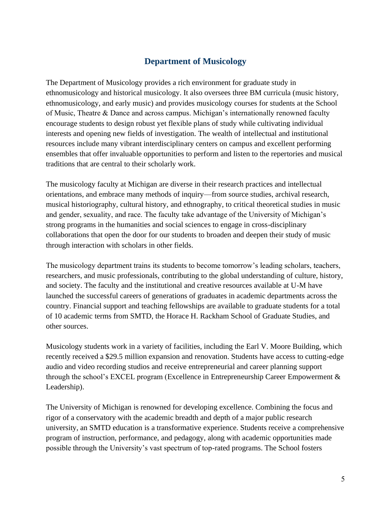## **Department of Musicology**

The Department of Musicology provides a rich environment for graduate study in ethnomusicology and historical musicology. It also oversees three BM curricula (music history, ethnomusicology, and early music) and provides musicology courses for students at the School of Music, Theatre & Dance and across campus. Michigan's internationally renowned faculty encourage students to design robust yet flexible plans of study while cultivating individual interests and opening new fields of investigation. The wealth of intellectual and institutional resources include many vibrant interdisciplinary centers on campus and excellent performing ensembles that offer invaluable opportunities to perform and listen to the repertories and musical traditions that are central to their scholarly work.

The musicology faculty at Michigan are diverse in their research practices and intellectual orientations, and embrace many methods of inquiry—from source studies, archival research, musical historiography, cultural history, and ethnography, to critical theoretical studies in music and gender, sexuality, and race. The faculty take advantage of the University of Michigan's strong programs in the humanities and social sciences to engage in cross-disciplinary collaborations that open the door for our students to broaden and deepen their study of music through interaction with scholars in other fields.

The musicology department trains its students to become tomorrow's leading scholars, teachers, researchers, and music professionals, contributing to the global understanding of culture, history, and society. The faculty and the institutional and creative resources available at U-M have launched the successful careers of generations of graduates in academic departments across the country. Financial support and teaching fellowships are available to graduate students for a total of 10 academic terms from SMTD, the Horace H. Rackham School of Graduate Studies, and other sources.

Musicology students work in a variety of facilities, including the Earl V. Moore Building, which recently received a \$29.5 million expansion and renovation. Students have access to cutting-edge audio and video recording studios and receive entrepreneurial and career planning support through the school's EXCEL program (Excellence in Entrepreneurship Career Empowerment & Leadership).

The University of Michigan is renowned for developing excellence. Combining the focus and rigor of a conservatory with the academic breadth and depth of a major public research university, an SMTD education is a transformative experience. Students receive a comprehensive program of instruction, performance, and pedagogy, along with academic opportunities made possible through the University's vast spectrum of top-rated programs. The School fosters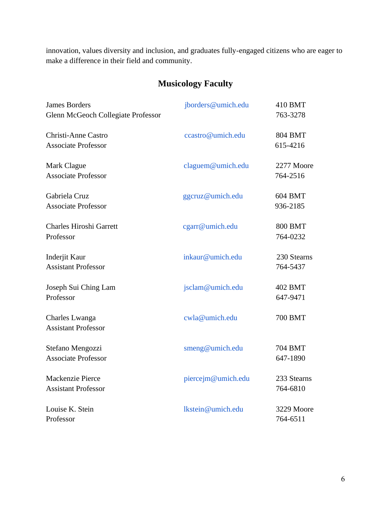innovation, values diversity and inclusion, and graduates fully-engaged citizens who are eager to make a difference in their field and community.

## **Musicology Faculty**

| <b>James Borders</b><br>Glenn McGeoch Collegiate Professor | jborders@umich.edu | 410 BMT<br>763-3278        |
|------------------------------------------------------------|--------------------|----------------------------|
| <b>Christi-Anne Castro</b><br><b>Associate Professor</b>   | ccastro@umich.edu  | <b>804 BMT</b><br>615-4216 |
| Mark Clague<br><b>Associate Professor</b>                  | claguem@umich.edu  | 2277 Moore<br>764-2516     |
| Gabriela Cruz<br><b>Associate Professor</b>                | ggcruz@umich.edu   | 604 BMT<br>936-2185        |
| <b>Charles Hiroshi Garrett</b><br>Professor                | cgarr@umich.edu    | <b>800 BMT</b><br>764-0232 |
| Inderjit Kaur<br><b>Assistant Professor</b>                | inkaur@umich.edu   | 230 Stearns<br>764-5437    |
| Joseph Sui Ching Lam<br>Professor                          | jsclam@umich.edu   | 402 BMT<br>647-9471        |
| Charles Lwanga<br><b>Assistant Professor</b>               | cwla@umich.edu     | <b>700 BMT</b>             |
| Stefano Mengozzi<br><b>Associate Professor</b>             | smeng@umich.edu    | 704 BMT<br>647-1890        |
| Mackenzie Pierce<br><b>Assistant Professor</b>             | piercejm@umich.edu | 233 Stearns<br>764-6810    |
| Louise K. Stein<br>Professor                               | lkstein@umich.edu  | 3229 Moore<br>764-6511     |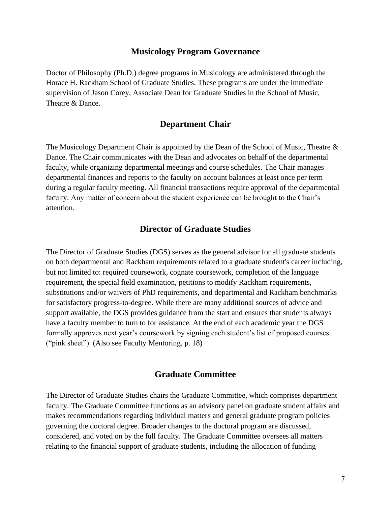#### **Musicology Program Governance**

Doctor of Philosophy (Ph.D.) degree programs in Musicology are administered through the Horace H. Rackham School of Graduate Studies. These programs are under the immediate supervision of Jason Corey, Associate Dean for Graduate Studies in the School of Music, Theatre & Dance.

#### **Department Chair**

The Musicology Department Chair is appointed by the Dean of the School of Music, Theatre & Dance. The Chair communicates with the Dean and advocates on behalf of the departmental faculty, while organizing departmental meetings and course schedules. The Chair manages departmental finances and reports to the faculty on account balances at least once per term during a regular faculty meeting. All financial transactions require approval of the departmental faculty. Any matter of concern about the student experience can be brought to the Chair's attention.

#### **Director of Graduate Studies**

The Director of Graduate Studies (DGS) serves as the general advisor for all graduate students on both departmental and Rackham requirements related to a graduate student's career including, but not limited to: required coursework, cognate coursework, completion of the language requirement, the special field examination, petitions to modify Rackham requirements, substitutions and/or waivers of PhD requirements, and departmental and Rackham benchmarks for satisfactory progress-to-degree. While there are many additional sources of advice and support available, the DGS provides guidance from the start and ensures that students always have a faculty member to turn to for assistance. At the end of each academic year the DGS formally approves next year's coursework by signing each student's list of proposed courses ("pink sheet"). (Also see Faculty Mentoring, p. 18)

#### **Graduate Committee**

The Director of Graduate Studies chairs the Graduate Committee, which comprises department faculty. The Graduate Committee functions as an advisory panel on graduate student affairs and makes recommendations regarding individual matters and general graduate program policies governing the doctoral degree. Broader changes to the doctoral program are discussed, considered, and voted on by the full faculty. The Graduate Committee oversees all matters relating to the financial support of graduate students, including the allocation of funding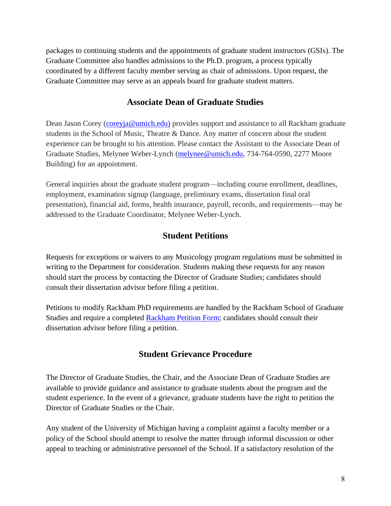packages to continuing students and the appointments of graduate student instructors (GSIs). The Graduate Committee also handles admissions to the Ph.D. program, a process typically coordinated by a different faculty member serving as chair of admissions. Upon request, the Graduate Committee may serve as an appeals board for graduate student matters.

## **Associate Dean of Graduate Studies**

Dean Jason Corey [\(coreyja@umich.edu\)](mailto:coreyja@umich.edu) provides support and assistance to all Rackham graduate students in the School of Music, Theatre & Dance. Any matter of concern about the student experience can be brought to his attention. Please contact the Assistant to the Associate Dean of Graduate Studies, Melynee Weber-Lynch [\(melynee@umich.edu,](mailto:melynee@umich.edu) 734-764-0590, 2277 Moore Building) for an appointment.

General inquiries about the graduate student program—including course enrollment, deadlines, employment, examination signup (language, preliminary exams, dissertation final oral presentation), financial aid, forms, health insurance, payroll, records, and requirements—may be addressed to the Graduate Coordinator, Melynee Weber-Lynch.

## **Student Petitions**

Requests for exceptions or waivers to any Musicology program regulations must be submitted in writing to the Department for consideration. Students making these requests for any reason should start the process by contacting the Director of Graduate Studies; candidates should consult their dissertation advisor before filing a petition.

Petitions to modify Rackham PhD requirements are handled by the Rackham School of Graduate Studies and require a completed [Rackham Petition Form;](https://rackham.umich.edu/navigating-your-degree/petition-for-modification-or-waiver-of-regulation/) candidates should consult their dissertation advisor before filing a petition.

## **Student Grievance Procedure**

The Director of Graduate Studies, the Chair, and the Associate Dean of Graduate Studies are available to provide guidance and assistance to graduate students about the program and the student experience. In the event of a grievance, graduate students have the right to petition the Director of Graduate Studies or the Chair.

Any student of the University of Michigan having a complaint against a faculty member or a policy of the School should attempt to resolve the matter through informal discussion or other appeal to teaching or administrative personnel of the School. If a satisfactory resolution of the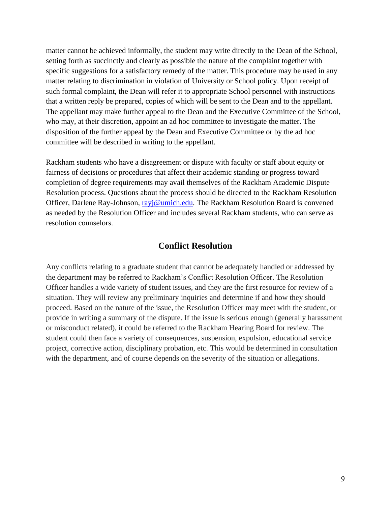matter cannot be achieved informally, the student may write directly to the Dean of the School, setting forth as succinctly and clearly as possible the nature of the complaint together with specific suggestions for a satisfactory remedy of the matter. This procedure may be used in any matter relating to discrimination in violation of University or School policy. Upon receipt of such formal complaint, the Dean will refer it to appropriate School personnel with instructions that a written reply be prepared, copies of which will be sent to the Dean and to the appellant. The appellant may make further appeal to the Dean and the Executive Committee of the School, who may, at their discretion, appoint an ad hoc committee to investigate the matter. The disposition of the further appeal by the Dean and Executive Committee or by the ad hoc committee will be described in writing to the appellant.

Rackham students who have a disagreement or dispute with faculty or staff about equity or fairness of decisions or procedures that affect their academic standing or progress toward completion of degree requirements may avail themselves of the Rackham Academic Dispute Resolution process. Questions about the process should be directed to the Rackham Resolution Officer, Darlene Ray-Johnson, [rayj@umich.edu.](mailto:rayj@umich.edu) The Rackham Resolution Board is convened as needed by the Resolution Officer and includes several Rackham students, who can serve as resolution counselors.

#### **Conflict Resolution**

Any conflicts relating to a graduate student that cannot be adequately handled or addressed by the department may be referred to Rackham's Conflict Resolution Officer. The Resolution Officer handles a wide variety of student issues, and they are the first resource for review of a situation. They will review any preliminary inquiries and determine if and how they should proceed. Based on the nature of the issue, the Resolution Officer may meet with the student, or provide in writing a summary of the dispute. If the issue is serious enough (generally harassment or misconduct related), it could be referred to the Rackham Hearing Board for review. The student could then face a variety of consequences, suspension, expulsion, educational service project, corrective action, disciplinary probation, etc. This would be determined in consultation with the department, and of course depends on the severity of the situation or allegations.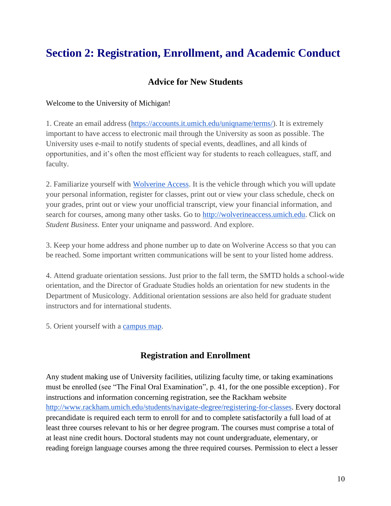# **Section 2: Registration, Enrollment, and Academic Conduct**

## **Advice for New Students**

#### Welcome to the University of Michigan!

1. Create an email address [\(https://accounts.it.umich.edu/uniqname/terms/\)](https://accounts.it.umich.edu/uniqname/terms/). It is extremely important to have access to electronic mail through the University as soon as possible. The University uses e-mail to notify students of special events, deadlines, and all kinds of opportunities, and it's often the most efficient way for students to reach colleagues, staff, and faculty.

2. Familiarize yourself with [Wolverine Access.](https://wolverineaccess.umich.edu/) It is the vehicle through which you will update your personal information, register for classes, print out or view your class schedule, check on your grades, print out or view your unofficial transcript, view your financial information, and search for courses, among many other tasks. Go to [http://wolverineaccess.umich.edu.](http://wolverineaccess.umich.edu/) Click on *Student Business.* Enter your uniqname and password. And explore.

3. Keep your home address and phone number up to date on Wolverine Access so that you can be reached. Some important written communications will be sent to your listed home address.

4. Attend graduate orientation sessions. Just prior to the fall term, the SMTD holds a school-wide orientation, and the Director of Graduate Studies holds an orientation for new students in the Department of Musicology. Additional orientation sessions are also held for graduate student instructors and for international students.

5. Orient yourself with a [campus map.](https://maps.studentlife.umich.edu/)

## **Registration and Enrollment**

Any student making use of University facilities, utilizing faculty time, or taking examinations must be enrolled (see "The Final Oral Examination", p. 41, for the one possible exception) . For instructions and information concerning registration, see the Rackham website [http://www.rackham.umich.edu/students/navigate-degree/registering-for-classes.](http://www.rackham.umich.edu/students/navigate-degree/registering-for-classes) Every doctoral precandidate is required each term to enroll for and to complete satisfactorily a full load of at least three courses relevant to his or her degree program. The courses must comprise a total of at least nine credit hours. Doctoral students may not count undergraduate, elementary, or reading foreign language courses among the three required courses. Permission to elect a lesser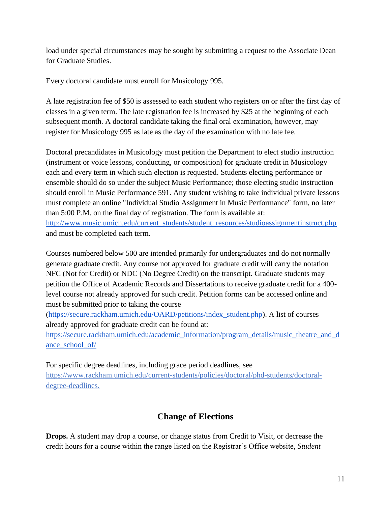load under special circumstances may be sought by submitting a request to the Associate Dean for Graduate Studies.

Every doctoral candidate must enroll for Musicology 995.

A late registration fee of \$50 is assessed to each student who registers on or after the first day of classes in a given term. The late registration fee is increased by \$25 at the beginning of each subsequent month. A doctoral candidate taking the final oral examination, however, may register for Musicology 995 as late as the day of the examination with no late fee.

Doctoral precandidates in Musicology must petition the Department to elect studio instruction (instrument or voice lessons, conducting, or composition) for graduate credit in Musicology each and every term in which such election is requested. Students electing performance or ensemble should do so under the subject Music Performance; those electing studio instruction should enroll in Music Performance 591. Any student wishing to take individual private lessons must complete an online "Individual Studio Assignment in Music Performance" form, no later than 5:00 P.M. on the final day of registration. The form is available at: http://www.music.umich.edu/current\_students/student\_resources/studioassignmentinstruct.php and must be completed each term.

Courses numbered below 500 are intended primarily for undergraduates and do not normally generate graduate credit. Any course not approved for graduate credit will carry the notation NFC (Not for Credit) or NDC (No Degree Credit) on the transcript. Graduate students may petition the Office of Academic Records and Dissertations to receive graduate credit for a 400 level course not already approved for such credit. Petition forms can be accessed online and must be submitted prior to taking the course

[\(https://secure.rackham.umich.edu/OARD/petitions/index\\_student.php\)](http://www.rackham.umich.edu/students/navigate-degree/registering-for-classes). A list of courses already approved for graduate credit can be found at:

[https://secure.rackham.umich.edu/academic\\_information/program\\_details/music\\_theatre\\_and\\_d](https://secure.rackham.umich.edu/academic_information/program_details/music_theatre_and_dance_school_of/) ance school of/

For specific degree deadlines, including grace period deadlines, see [https://www.rackham.umich.edu/current-students/policies/doctoral/phd-students/doctoral](https://www.rackham.umich.edu/current-students/policies/doctoral/phd-students/doctoral-degree-deadlines)[degree-deadlines.](https://www.rackham.umich.edu/current-students/policies/doctoral/phd-students/doctoral-degree-deadlines)

## **Change of Elections**

**Drops.** A student may drop a course, or change status from Credit to Visit, or decrease the credit hours for a course within the range listed on the Registrar's Office website, *Student*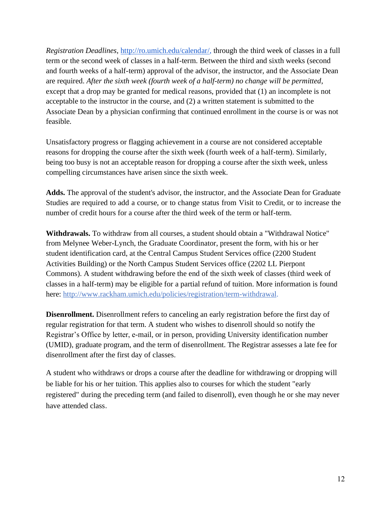*Registration Deadlines,* [http://ro.umich.edu/calendar/,](http://ro.umich.edu/calendar/) through the third week of classes in a full term or the second week of classes in a half-term. Between the third and sixth weeks (second and fourth weeks of a half-term) approval of the advisor, the instructor, and the Associate Dean are required. *After the sixth week (fourth week of a half-term) no change will be permitted*, except that a drop may be granted for medical reasons, provided that (1) an incomplete is not acceptable to the instructor in the course, and (2) a written statement is submitted to the Associate Dean by a physician confirming that continued enrollment in the course is or was not feasible.

Unsatisfactory progress or flagging achievement in a course are not considered acceptable reasons for dropping the course after the sixth week (fourth week of a half-term). Similarly, being too busy is not an acceptable reason for dropping a course after the sixth week, unless compelling circumstances have arisen since the sixth week.

**Adds.** The approval of the student's advisor, the instructor, and the Associate Dean for Graduate Studies are required to add a course, or to change status from Visit to Credit, or to increase the number of credit hours for a course after the third week of the term or half-term.

**Withdrawals.** To withdraw from all courses, a student should obtain a "Withdrawal Notice" from Melynee Weber-Lynch, the Graduate Coordinator, present the form, with his or her student identification card, at the Central Campus Student Services office (2200 Student Activities Building) or the North Campus Student Services office (2202 LL Pierpont Commons). A student withdrawing before the end of the sixth week of classes (third week of classes in a half-term) may be eligible for a partial refund of tuition. More information is found here: [http://www.rackham.umich.edu/policies/registration/term-withdrawal.](http://www.rackham.umich.edu/policies/registration/term-withdrawal)

**Disenrollment.** Disenrollment refers to canceling an early registration before the first day of regular registration for that term. A student who wishes to disenroll should so notify the Registrar's Office by letter, e-mail, or in person, providing University identification number (UMID), graduate program, and the term of disenrollment. The Registrar assesses a late fee for disenrollment after the first day of classes.

A student who withdraws or drops a course after the deadline for withdrawing or dropping will be liable for his or her tuition. This applies also to courses for which the student "early registered" during the preceding term (and failed to disenroll), even though he or she may never have attended class.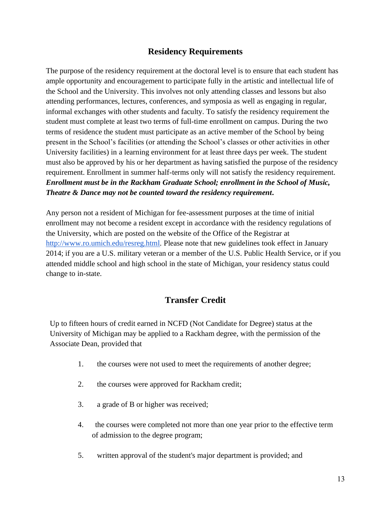## **Residency Requirements**

The purpose of the residency requirement at the doctoral level is to ensure that each student has ample opportunity and encouragement to participate fully in the artistic and intellectual life of the School and the University. This involves not only attending classes and lessons but also attending performances, lectures, conferences, and symposia as well as engaging in regular, informal exchanges with other students and faculty. To satisfy the residency requirement the student must complete at least two terms of full-time enrollment on campus. During the two terms of residence the student must participate as an active member of the School by being present in the School's facilities (or attending the School's classes or other activities in other University facilities) in a learning environment for at least three days per week. The student must also be approved by his or her department as having satisfied the purpose of the residency requirement. Enrollment in summer half-terms only will not satisfy the residency requirement. *Enrollment must be in the Rackham Graduate School; enrollment in the School of Music, Theatre & Dance may not be counted toward the residency requirement***.**

Any person not a resident of Michigan for fee-assessment purposes at the time of initial enrollment may not become a resident except in accordance with the residency regulations of the University, which are posted on the website of the Office of the Registrar at <http://www.ro.umich.edu/resreg.html>*.* Please note that new guidelines took effect in January 2014; if you are a U.S. military veteran or a member of the U.S. Public Health Service, or if you attended middle school and high school in the state of Michigan, your residency status could change to in-state.

## **Transfer Credit**

Up to fifteen hours of credit earned in NCFD (Not Candidate for Degree) status at the University of Michigan may be applied to a Rackham degree, with the permission of the Associate Dean, provided that

- 1. the courses were not used to meet the requirements of another degree;
- 2. the courses were approved for Rackham credit;
- 3. a grade of B or higher was received;
- 4. the courses were completed not more than one year prior to the effective term of admission to the degree program;
- 5. written approval of the student's major department is provided; and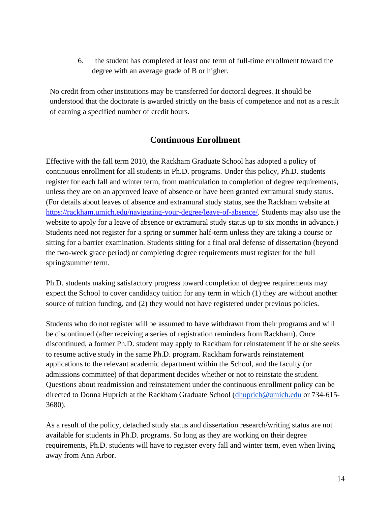6. the student has completed at least one term of full-time enrollment toward the degree with an average grade of B or higher.

No credit from other institutions may be transferred for doctoral degrees. It should be understood that the doctorate is awarded strictly on the basis of competence and not as a result of earning a specified number of credit hours.

## **Continuous Enrollment**

Effective with the fall term 2010, the Rackham Graduate School has adopted a policy of continuous enrollment for all students in Ph.D. programs. Under this policy, Ph.D. students register for each fall and winter term, from matriculation to completion of degree requirements, unless they are on an approved leave of absence or have been granted extramural study status. (For details about leaves of absence and extramural study status, see the Rackham website at [https://rackham.umich.edu/navigating-your-degree/leave-of-absence/.](https://rackham.umich.edu/navigating-your-degree/leave-of-absence/) Students may also use the website to apply for a leave of absence or extramural study status up to six months in advance.) Students need not register for a spring or summer half-term unless they are taking a course or sitting for a barrier examination. Students sitting for a final oral defense of dissertation (beyond the two-week grace period) or completing degree requirements must register for the full spring/summer term.

Ph.D. students making satisfactory progress toward completion of degree requirements may expect the School to cover candidacy tuition for any term in which (1) they are without another source of tuition funding, and (2) they would not have registered under previous policies.

Students who do not register will be assumed to have withdrawn from their programs and will be discontinued (after receiving a series of registration reminders from Rackham). Once discontinued, a former Ph.D. student may apply to Rackham for reinstatement if he or she seeks to resume active study in the same Ph.D. program. Rackham forwards reinstatement applications to the relevant academic department within the School, and the faculty (or admissions committee) of that department decides whether or not to reinstate the student. Questions about readmission and reinstatement under the continuous enrollment policy can be directed to Donna Huprich at the Rackham Graduate School [\(dhuprich@umich.edu](http://dhuprich@umich.edu/) or 734-615- 3680).

As a result of the policy, detached study status and dissertation research/writing status are not available for students in Ph.D. programs. So long as they are working on their degree requirements, Ph.D. students will have to register every fall and winter term, even when living away from Ann Arbor.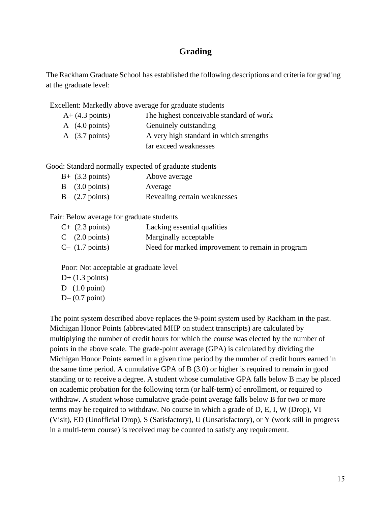## **Grading**

The Rackham Graduate School has established the following descriptions and criteria for grading at the graduate level:

Excellent: Markedly above average for graduate students

| $A+$ (4.3 points)          | The highest conceivable standard of work |
|----------------------------|------------------------------------------|
| A $(4.0 \text{ points})$   | Genuinely outstanding                    |
| $A - (3.7 \text{ points})$ | A very high standard in which strengths  |
|                            | far exceed weaknesses                    |

Good: Standard normally expected of graduate students

| $B+$ (3.3 points)    | Above average                |
|----------------------|------------------------------|
| $\beta$ (3.0 points) | Average                      |
| $B-$ (2.7 points)    | Revealing certain weaknesses |

Fair: Below average for graduate students

| $C+$ (2.3 points)        | Lacking essential qualities                      |
|--------------------------|--------------------------------------------------|
| C $(2.0 \text{ points})$ | Marginally acceptable                            |
| $C-$ (1.7 points)        | Need for marked improvement to remain in program |

Poor: Not acceptable at graduate level

- $D+$  (1.3 points)
- D  $(1.0 \text{ point})$
- D– (0.7 point)

The point system described above replaces the 9-point system used by Rackham in the past. Michigan Honor Points (abbreviated MHP on student transcripts) are calculated by multiplying the number of credit hours for which the course was elected by the number of points in the above scale. The grade-point average (GPA) is calculated by dividing the Michigan Honor Points earned in a given time period by the number of credit hours earned in the same time period. A cumulative GPA of B (3.0) or higher is required to remain in good standing or to receive a degree. A student whose cumulative GPA falls below B may be placed on academic probation for the following term (or half-term) of enrollment, or required to withdraw. A student whose cumulative grade-point average falls below B for two or more terms may be required to withdraw. No course in which a grade of D, E, I, W (Drop), VI (Visit), ED (Unofficial Drop), S (Satisfactory), U (Unsatisfactory), or Y (work still in progress in a multi-term course) is received may be counted to satisfy any requirement.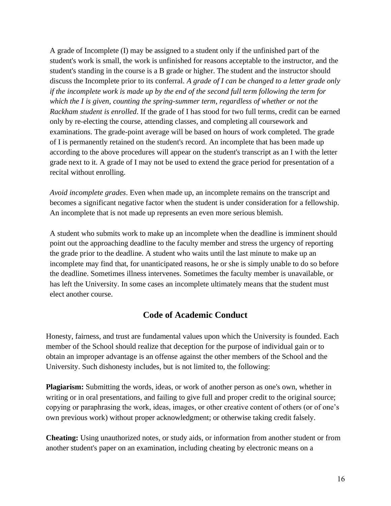A grade of Incomplete (I) may be assigned to a student only if the unfinished part of the student's work is small, the work is unfinished for reasons acceptable to the instructor, and the student's standing in the course is a B grade or higher. The student and the instructor should discuss the Incomplete prior to its conferral. *A grade of I can be changed to a letter grade only if the incomplete work is made up by the end of the second full term following the term for which the I is given, counting the spring-summer term, regardless of whether or not the Rackham student is enrolled*. If the grade of I has stood for two full terms, credit can be earned only by re-electing the course, attending classes, and completing all coursework and examinations. The grade-point average will be based on hours of work completed. The grade of I is permanently retained on the student's record. An incomplete that has been made up according to the above procedures will appear on the student's transcript as an I with the letter grade next to it. A grade of I may not be used to extend the grace period for presentation of a recital without enrolling.

*Avoid incomplete grades*. Even when made up, an incomplete remains on the transcript and becomes a significant negative factor when the student is under consideration for a fellowship. An incomplete that is not made up represents an even more serious blemish.

A student who submits work to make up an incomplete when the deadline is imminent should point out the approaching deadline to the faculty member and stress the urgency of reporting the grade prior to the deadline. A student who waits until the last minute to make up an incomplete may find that, for unanticipated reasons, he or she is simply unable to do so before the deadline. Sometimes illness intervenes. Sometimes the faculty member is unavailable, or has left the University. In some cases an incomplete ultimately means that the student must elect another course.

## **Code of Academic Conduct**

Honesty, fairness, and trust are fundamental values upon which the University is founded. Each member of the School should realize that deception for the purpose of individual gain or to obtain an improper advantage is an offense against the other members of the School and the University. Such dishonesty includes, but is not limited to, the following:

**Plagiarism:** Submitting the words, ideas, or work of another person as one's own, whether in writing or in oral presentations, and failing to give full and proper credit to the original source; copying or paraphrasing the work, ideas, images, or other creative content of others (or of one's own previous work) without proper acknowledgment; or otherwise taking credit falsely.

**Cheating:** Using unauthorized notes, or study aids, or information from another student or from another student's paper on an examination, including cheating by electronic means on a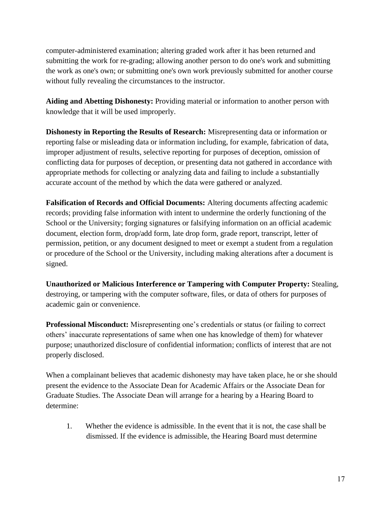computer-administered examination; altering graded work after it has been returned and submitting the work for re-grading; allowing another person to do one's work and submitting the work as one's own; or submitting one's own work previously submitted for another course without fully revealing the circumstances to the instructor.

**Aiding and Abetting Dishonesty:** Providing material or information to another person with knowledge that it will be used improperly.

**Dishonesty in Reporting the Results of Research:** Misrepresenting data or information or reporting false or misleading data or information including, for example, fabrication of data, improper adjustment of results, selective reporting for purposes of deception, omission of conflicting data for purposes of deception, or presenting data not gathered in accordance with appropriate methods for collecting or analyzing data and failing to include a substantially accurate account of the method by which the data were gathered or analyzed.

**Falsification of Records and Official Documents:** Altering documents affecting academic records; providing false information with intent to undermine the orderly functioning of the School or the University; forging signatures or falsifying information on an official academic document, election form, drop/add form, late drop form, grade report, transcript, letter of permission, petition, or any document designed to meet or exempt a student from a regulation or procedure of the School or the University, including making alterations after a document is signed.

**Unauthorized or Malicious Interference or Tampering with Computer Property:** Stealing, destroying, or tampering with the computer software, files, or data of others for purposes of academic gain or convenience.

**Professional Misconduct:** Misrepresenting one's credentials or status (or failing to correct others' inaccurate representations of same when one has knowledge of them) for whatever purpose; unauthorized disclosure of confidential information; conflicts of interest that are not properly disclosed.

When a complainant believes that academic dishonesty may have taken place, he or she should present the evidence to the Associate Dean for Academic Affairs or the Associate Dean for Graduate Studies. The Associate Dean will arrange for a hearing by a Hearing Board to determine:

1. Whether the evidence is admissible. In the event that it is not, the case shall be dismissed. If the evidence is admissible, the Hearing Board must determine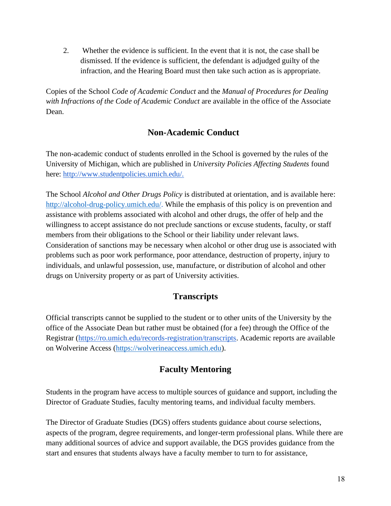2. Whether the evidence is sufficient. In the event that it is not, the case shall be dismissed. If the evidence is sufficient, the defendant is adjudged guilty of the infraction, and the Hearing Board must then take such action as is appropriate.

Copies of the School *Code of Academic Conduct* and the *Manual of Procedures for Dealing with Infractions of the Code of Academic Conduct* are available in the office of the Associate Dean.

## **Non-Academic Conduct**

The non-academic conduct of students enrolled in the School is governed by the rules of the University of Michigan, which are published in *University Policies Affecting Students* found here: [http://www.studentpolicies.umich.edu/.](http://www.studentpolicies.umich.edu/)

The School *Alcohol and Other Drugs Policy* is distributed at orientation, and is available here: [http://alcohol-drug-policy.umich.edu/.](http://alcohol-drug-policy.umich.edu/) While the emphasis of this policy is on prevention and assistance with problems associated with alcohol and other drugs, the offer of help and the willingness to accept assistance do not preclude sanctions or excuse students, faculty, or staff members from their obligations to the School or their liability under relevant laws. Consideration of sanctions may be necessary when alcohol or other drug use is associated with problems such as poor work performance, poor attendance, destruction of property, injury to individuals, and unlawful possession, use, manufacture, or distribution of alcohol and other drugs on University property or as part of University activities.

## **Transcripts**

Official transcripts cannot be supplied to the student or to other units of the University by the office of the Associate Dean but rather must be obtained (for a fee) through the Office of the Registrar [\(https://ro.umich.edu/records-registration/transcripts.](https://ro.umich.edu/records-registration/transcripts) Academic reports are available on Wolverine Access (https://wolverineaccess.umich.edu).

## **Faculty Mentoring**

Students in the program have access to multiple sources of guidance and support, including the Director of Graduate Studies, faculty mentoring teams, and individual faculty members.

The Director of Graduate Studies (DGS) offers students guidance about course selections, aspects of the program, degree requirements, and longer-term professional plans. While there are many additional sources of advice and support available, the DGS provides guidance from the start and ensures that students always have a faculty member to turn to for assistance,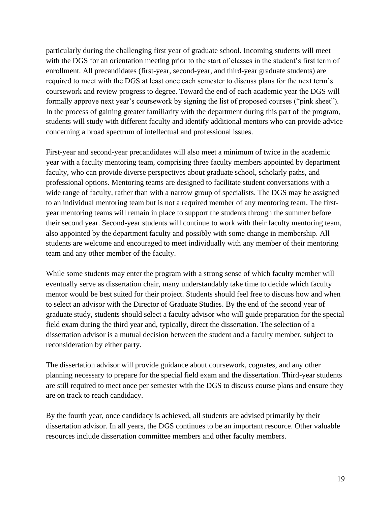particularly during the challenging first year of graduate school. Incoming students will meet with the DGS for an orientation meeting prior to the start of classes in the student's first term of enrollment. All precandidates (first-year, second-year, and third-year graduate students) are required to meet with the DGS at least once each semester to discuss plans for the next term's coursework and review progress to degree. Toward the end of each academic year the DGS will formally approve next year's coursework by signing the list of proposed courses ("pink sheet"). In the process of gaining greater familiarity with the department during this part of the program, students will study with different faculty and identify additional mentors who can provide advice concerning a broad spectrum of intellectual and professional issues.

First-year and second-year precandidates will also meet a minimum of twice in the academic year with a faculty mentoring team, comprising three faculty members appointed by department faculty, who can provide diverse perspectives about graduate school, scholarly paths, and professional options. Mentoring teams are designed to facilitate student conversations with a wide range of faculty, rather than with a narrow group of specialists. The DGS may be assigned to an individual mentoring team but is not a required member of any mentoring team. The firstyear mentoring teams will remain in place to support the students through the summer before their second year. Second-year students will continue to work with their faculty mentoring team, also appointed by the department faculty and possibly with some change in membership. All students are welcome and encouraged to meet individually with any member of their mentoring team and any other member of the faculty.

While some students may enter the program with a strong sense of which faculty member will eventually serve as dissertation chair, many understandably take time to decide which faculty mentor would be best suited for their project. Students should feel free to discuss how and when to select an advisor with the Director of Graduate Studies. By the end of the second year of graduate study, students should select a faculty advisor who will guide preparation for the special field exam during the third year and, typically, direct the dissertation. The selection of a dissertation advisor is a mutual decision between the student and a faculty member, subject to reconsideration by either party.

The dissertation advisor will provide guidance about coursework, cognates, and any other planning necessary to prepare for the special field exam and the dissertation. Third-year students are still required to meet once per semester with the DGS to discuss course plans and ensure they are on track to reach candidacy.

By the fourth year, once candidacy is achieved, all students are advised primarily by their dissertation advisor. In all years, the DGS continues to be an important resource. Other valuable resources include dissertation committee members and other faculty members.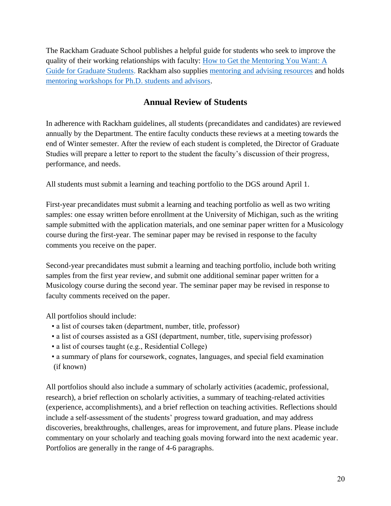The Rackham Graduate School publishes a helpful guide for students who seek to improve the quality of their working relationships with faculty: [How to Get the Mentoring You Want: A](http://www.rackham.umich.edu/downloads/publications/mentoring.pdf)  [Guide for Graduate Students.](http://www.rackham.umich.edu/downloads/publications/mentoring.pdf) Rackham also supplies [mentoring and advising resources](https://rackham.umich.edu/faculty-and-staff/facilitating-academic-success/mentoring-advising/) and holds [mentoring workshops for Ph.D. students and advisors.](https://rackham.umich.edu/faculty-and-staff/facilitating-academic-success/mentoring-advising/)

## **Annual Review of Students**

In adherence with Rackham guidelines, all students (precandidates and candidates) are reviewed annually by the Department. The entire faculty conducts these reviews at a meeting towards the end of Winter semester. After the review of each student is completed, the Director of Graduate Studies will prepare a letter to report to the student the faculty's discussion of their progress, performance, and needs.

All students must submit a learning and teaching portfolio to the DGS around April 1.

First-year precandidates must submit a learning and teaching portfolio as well as two writing samples: one essay written before enrollment at the University of Michigan, such as the writing sample submitted with the application materials, and one seminar paper written for a Musicology course during the first-year. The seminar paper may be revised in response to the faculty comments you receive on the paper.

Second-year precandidates must submit a learning and teaching portfolio, include both writing samples from the first year review, and submit one additional seminar paper written for a Musicology course during the second year. The seminar paper may be revised in response to faculty comments received on the paper.

All portfolios should include:

- a list of courses taken (department, number, title, professor)
- a list of courses assisted as a GSI (department, number, title, supervising professor)
- a list of courses taught (e.g., Residential College)
- a summary of plans for coursework, cognates, languages, and special field examination (if known)

All portfolios should also include a summary of scholarly activities (academic, professional, research), a brief reflection on scholarly activities, a summary of teaching-related activities (experience, accomplishments), and a brief reflection on teaching activities. Reflections should include a self-assessment of the students' progress toward graduation, and may address discoveries, breakthroughs, challenges, areas for improvement, and future plans. Please include commentary on your scholarly and teaching goals moving forward into the next academic year. Portfolios are generally in the range of 4-6 paragraphs.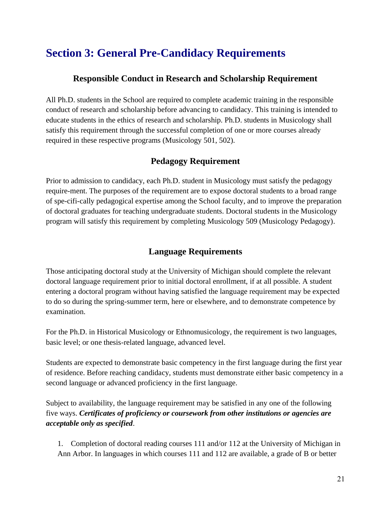# **Section 3: General Pre-Candidacy Requirements**

## **Responsible Conduct in Research and Scholarship Requirement**

All Ph.D. students in the School are required to complete academic training in the responsible conduct of research and scholarship before advancing to candidacy. This training is intended to educate students in the ethics of research and scholarship. Ph.D. students in Musicology shall satisfy this requirement through the successful completion of one or more courses already required in these respective programs (Musicology 501, 502).

## **Pedagogy Requirement**

Prior to admission to candidacy, each Ph.D. student in Musicology must satisfy the pedagogy require-ment. The purposes of the requirement are to expose doctoral students to a broad range of spe-cifi-cally pedagogical expertise among the School faculty, and to improve the preparation of doctoral graduates for teaching undergraduate students. Doctoral students in the Musicology program will satisfy this requirement by completing Musicology 509 (Musicology Pedagogy).

## **Language Requirements**

Those anticipating doctoral study at the University of Michigan should complete the relevant doctoral language requirement prior to initial doctoral enrollment, if at all possible. A student entering a doctoral program without having satisfied the language requirement may be expected to do so during the spring-summer term, here or elsewhere, and to demonstrate competence by examination.

For the Ph.D. in Historical Musicology or Ethnomusicology, the requirement is two languages, basic level; or one thesis-related language, advanced level.

Students are expected to demonstrate basic competency in the first language during the first year of residence. Before reaching candidacy, students must demonstrate either basic competency in a second language or advanced proficiency in the first language.

Subject to availability, the language requirement may be satisfied in any one of the following five ways. *Certificates of proficiency or coursework from other institutions or agencies are acceptable only as specified*.

1. Completion of doctoral reading courses 111 and/or 112 at the University of Michigan in Ann Arbor. In languages in which courses 111 and 112 are available, a grade of B or better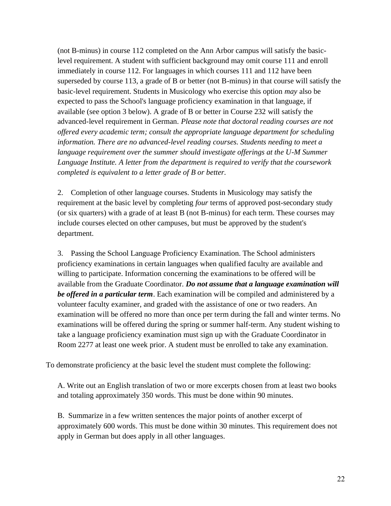(not B-minus) in course 112 completed on the Ann Arbor campus will satisfy the basiclevel requirement. A student with sufficient background may omit course 111 and enroll immediately in course 112. For languages in which courses 111 and 112 have been superseded by course 113, a grade of B or better (not B-minus) in that course will satisfy the basic-level requirement. Students in Musicology who exercise this option *may* also be expected to pass the School's language proficiency examination in that language, if available (see option 3 below). A grade of B or better in Course 232 will satisfy the advanced-level requirement in German. *Please note that doctoral reading courses are not offered every academic term; consult the appropriate language department for scheduling information. There are no advanced-level reading courses. Students needing to meet a language requirement over the summer should investigate offerings at the U-M Summer Language Institute. A letter from the department is required to verify that the coursework completed is equivalent to a letter grade of B or better.*

2. Completion of other language courses. Students in Musicology may satisfy the requirement at the basic level by completing *four* terms of approved post-secondary study (or six quarters) with a grade of at least B (not B-minus) for each term. These courses may include courses elected on other campuses, but must be approved by the student's department.

3. Passing the School Language Proficiency Examination. The School administers proficiency examinations in certain languages when qualified faculty are available and willing to participate. Information concerning the examinations to be offered will be available from the Graduate Coordinator. *Do not assume that a language examination will be offered in a particular term*. Each examination will be compiled and administered by a volunteer faculty examiner, and graded with the assistance of one or two readers. An examination will be offered no more than once per term during the fall and winter terms. No examinations will be offered during the spring or summer half-term. Any student wishing to take a language proficiency examination must sign up with the Graduate Coordinator in Room 2277 at least one week prior. A student must be enrolled to take any examination.

To demonstrate proficiency at the basic level the student must complete the following:

A. Write out an English translation of two or more excerpts chosen from at least two books and totaling approximately 350 words. This must be done within 90 minutes.

B. Summarize in a few written sentences the major points of another excerpt of approximately 600 words. This must be done within 30 minutes. This requirement does not apply in German but does apply in all other languages.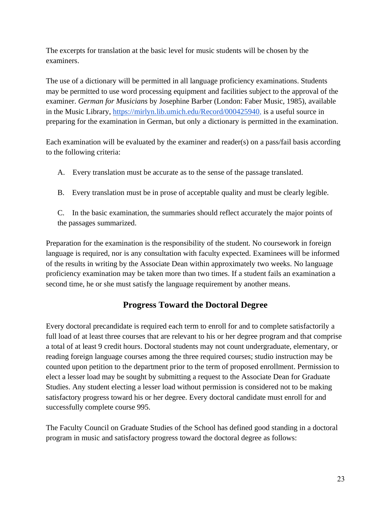The excerpts for translation at the basic level for music students will be chosen by the examiners.

The use of a dictionary will be permitted in all language proficiency examinations. Students may be permitted to use word processing equipment and facilities subject to the approval of the examiner. *German for Musicians* by Josephine Barber (London: Faber Music, 1985), available in the Music Library, [https://mirlyn.lib.umich.edu/Record/000425940,](https://mirlyn.lib.umich.edu/Record/000425940) is a useful source in preparing for the examination in German, but only a dictionary is permitted in the examination.

Each examination will be evaluated by the examiner and reader(s) on a pass/fail basis according to the following criteria:

A. Every translation must be accurate as to the sense of the passage translated.

B. Every translation must be in prose of acceptable quality and must be clearly legible.

C. In the basic examination, the summaries should reflect accurately the major points of the passages summarized.

Preparation for the examination is the responsibility of the student. No coursework in foreign language is required, nor is any consultation with faculty expected. Examinees will be informed of the results in writing by the Associate Dean within approximately two weeks. No language proficiency examination may be taken more than two times. If a student fails an examination a second time, he or she must satisfy the language requirement by another means.

## **Progress Toward the Doctoral Degree**

Every doctoral precandidate is required each term to enroll for and to complete satisfactorily a full load of at least three courses that are relevant to his or her degree program and that comprise a total of at least 9 credit hours. Doctoral students may not count undergraduate, elementary, or reading foreign language courses among the three required courses; studio instruction may be counted upon petition to the department prior to the term of proposed enrollment. Permission to elect a lesser load may be sought by submitting a request to the Associate Dean for Graduate Studies. Any student electing a lesser load without permission is considered not to be making satisfactory progress toward his or her degree. Every doctoral candidate must enroll for and successfully complete course 995.

The Faculty Council on Graduate Studies of the School has defined good standing in a doctoral program in music and satisfactory progress toward the doctoral degree as follows: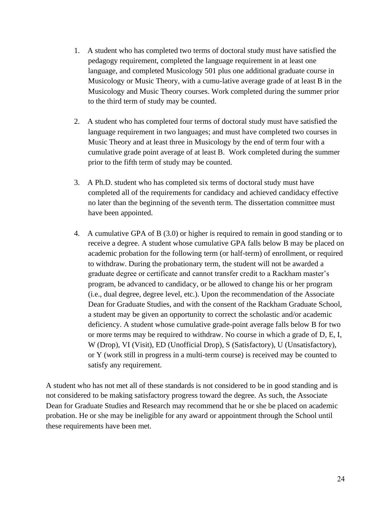- 1. A student who has completed two terms of doctoral study must have satisfied the pedagogy requirement, completed the language requirement in at least one language, and completed Musicology 501 plus one additional graduate course in Musicology or Music Theory, with a cumu-lative average grade of at least B in the Musicology and Music Theory courses. Work completed during the summer prior to the third term of study may be counted.
- 2. A student who has completed four terms of doctoral study must have satisfied the language requirement in two languages; and must have completed two courses in Music Theory and at least three in Musicology by the end of term four with a cumulative grade point average of at least B. Work completed during the summer prior to the fifth term of study may be counted.
- 3. A Ph.D. student who has completed six terms of doctoral study must have completed all of the requirements for candidacy and achieved candidacy effective no later than the beginning of the seventh term. The dissertation committee must have been appointed.
- 4. A cumulative GPA of B (3.0) or higher is required to remain in good standing or to receive a degree. A student whose cumulative GPA falls below B may be placed on academic probation for the following term (or half-term) of enrollment, or required to withdraw. During the probationary term, the student will not be awarded a graduate degree or certificate and cannot transfer credit to a Rackham master's program, be advanced to candidacy, or be allowed to change his or her program (i.e., dual degree, degree level, etc.). Upon the recommendation of the Associate Dean for Graduate Studies, and with the consent of the Rackham Graduate School, a student may be given an opportunity to correct the scholastic and/or academic deficiency. A student whose cumulative grade-point average falls below B for two or more terms may be required to withdraw. No course in which a grade of D, E, I, W (Drop), VI (Visit), ED (Unofficial Drop), S (Satisfactory), U (Unsatisfactory), or Y (work still in progress in a multi-term course) is received may be counted to satisfy any requirement.

A student who has not met all of these standards is not considered to be in good standing and is not considered to be making satisfactory progress toward the degree. As such, the Associate Dean for Graduate Studies and Research may recommend that he or she be placed on academic probation. He or she may be ineligible for any award or appointment through the School until these requirements have been met.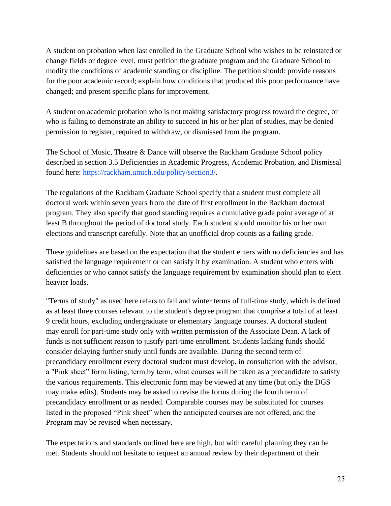A student on probation when last enrolled in the Graduate School who wishes to be reinstated or change fields or degree level, must petition the graduate program and the Graduate School to modify the conditions of academic standing or discipline. The petition should: provide reasons for the poor academic record; explain how conditions that produced this poor performance have changed; and present specific plans for improvement.

A student on academic probation who is not making satisfactory progress toward the degree, or who is failing to demonstrate an ability to succeed in his or her plan of studies, may be denied permission to register, required to withdraw, or dismissed from the program.

The School of Music, Theatre & Dance will observe the Rackham Graduate School policy described in section 3.5 Deficiencies in Academic Progress, Academic Probation, and Dismissal found here: [https://rackham.umich.edu/policy/section3/.](https://rackham.umich.edu/policy/section3/)

The regulations of the Rackham Graduate School specify that a student must complete all doctoral work within seven years from the date of first enrollment in the Rackham doctoral program. They also specify that good standing requires a cumulative grade point average of at least B throughout the period of doctoral study. Each student should monitor his or her own elections and transcript carefully. Note that an unofficial drop counts as a failing grade.

These guidelines are based on the expectation that the student enters with no deficiencies and has satisfied the language requirement or can satisfy it by examination. A student who enters with deficiencies or who cannot satisfy the language requirement by examination should plan to elect heavier loads.

"Terms of study" as used here refers to fall and winter terms of full-time study, which is defined as at least three courses relevant to the student's degree program that comprise a total of at least 9 credit hours, excluding undergraduate or elementary language courses. A doctoral student may enroll for part-time study only with written permission of the Associate Dean. A lack of funds is not sufficient reason to justify part-time enrollment. Students lacking funds should consider delaying further study until funds are available. During the second term of precandidacy enrollment every doctoral student must develop, in consultation with the advisor, a "Pink sheet" form listing, term by term, what courses will be taken as a precandidate to satisfy the various requirements. This electronic form may be viewed at any time (but only the DGS may make edits). Students may be asked to revise the forms during the fourth term of precandidacy enrollment or as needed. Comparable courses may be substituted for courses listed in the proposed "Pink sheet" when the anticipated courses are not offered, and the Program may be revised when necessary.

The expectations and standards outlined here are high, but with careful planning they can be met. Students should not hesitate to request an annual review by their department of their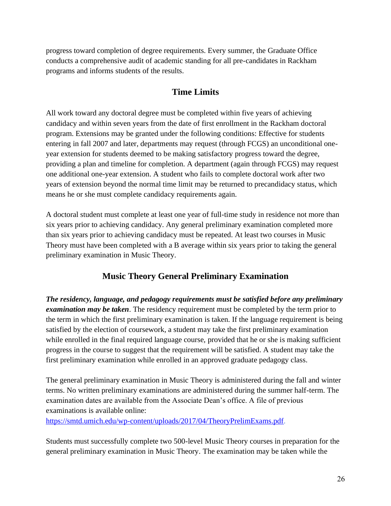progress toward completion of degree requirements. Every summer, the Graduate Office conducts a comprehensive audit of academic standing for all pre-candidates in Rackham programs and informs students of the results.

## **Time Limits**

All work toward any doctoral degree must be completed within five years of achieving candidacy and within seven years from the date of first enrollment in the Rackham doctoral program. Extensions may be granted under the following conditions: Effective for students entering in fall 2007 and later, departments may request (through FCGS) an unconditional oneyear extension for students deemed to be making satisfactory progress toward the degree, providing a plan and timeline for completion. A department (again through FCGS) may request one additional one-year extension. A student who fails to complete doctoral work after two years of extension beyond the normal time limit may be returned to precandidacy status, which means he or she must complete candidacy requirements again.

A doctoral student must complete at least one year of full-time study in residence not more than six years prior to achieving candidacy. Any general preliminary examination completed more than six years prior to achieving candidacy must be repeated. At least two courses in Music Theory must have been completed with a B average within six years prior to taking the general preliminary examination in Music Theory.

## **Music Theory General Preliminary Examination**

*The residency, language, and pedagogy requirements must be satisfied before any preliminary examination may be taken*. The residency requirement must be completed by the term prior to the term in which the first preliminary examination is taken. If the language requirement is being satisfied by the election of coursework, a student may take the first preliminary examination while enrolled in the final required language course, provided that he or she is making sufficient progress in the course to suggest that the requirement will be satisfied. A student may take the first preliminary examination while enrolled in an approved graduate pedagogy class.

The general preliminary examination in Music Theory is administered during the fall and winter terms. No written preliminary examinations are administered during the summer half-term. The examination dates are available from the Associate Dean's office. A file of previous examinations is available online:

<https://smtd.umich.edu/wp-content/uploads/2017/04/TheoryPrelimExams.pdf>[.](http://www.music.umich.edu/current_students/student_resources/theory_prelim_exam.htm)

Students must successfully complete two 500-level Music Theory courses in preparation for the general preliminary examination in Music Theory. The examination may be taken while the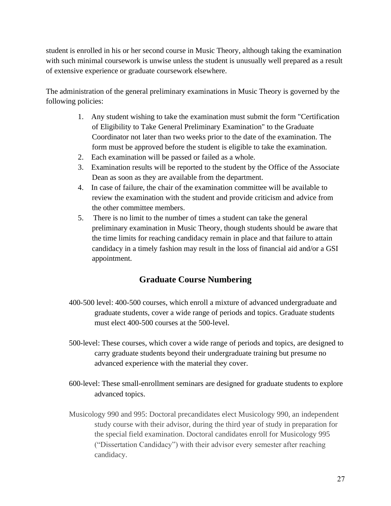student is enrolled in his or her second course in Music Theory, although taking the examination with such minimal coursework is unwise unless the student is unusually well prepared as a result of extensive experience or graduate coursework elsewhere.

The administration of the general preliminary examinations in Music Theory is governed by the following policies:

- 1. Any student wishing to take the examination must submit the form "Certification of Eligibility to Take General Preliminary Examination" to the Graduate Coordinator not later than two weeks prior to the date of the examination. The form must be approved before the student is eligible to take the examination.
- 2. Each examination will be passed or failed as a whole.
- 3. Examination results will be reported to the student by the Office of the Associate Dean as soon as they are available from the department.
- 4. In case of failure, the chair of the examination committee will be available to review the examination with the student and provide criticism and advice from the other committee members.
- 5. There is no limit to the number of times a student can take the general preliminary examination in Music Theory, though students should be aware that the time limits for reaching candidacy remain in place and that failure to attain candidacy in a timely fashion may result in the loss of financial aid and/or a GSI appointment.

## **Graduate Course Numbering**

- 400-500 level: 400-500 courses, which enroll a mixture of advanced undergraduate and graduate students, cover a wide range of periods and topics. Graduate students must elect 400-500 courses at the 500-level.
- 500-level: These courses, which cover a wide range of periods and topics, are designed to carry graduate students beyond their undergraduate training but presume no advanced experience with the material they cover.
- 600-level: These small-enrollment seminars are designed for graduate students to explore advanced topics.
- Musicology 990 and 995: Doctoral precandidates elect Musicology 990, an independent study course with their advisor, during the third year of study in preparation for the special field examination. Doctoral candidates enroll for Musicology 995 ("Dissertation Candidacy") with their advisor every semester after reaching candidacy.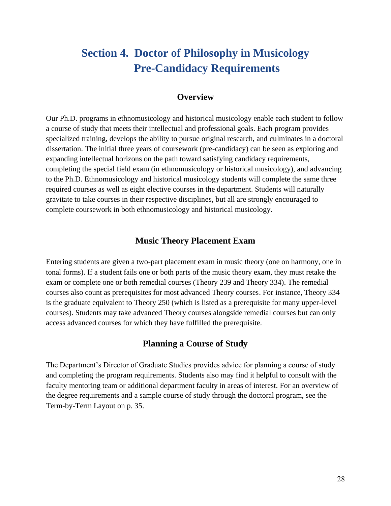# **Section 4. Doctor of Philosophy in Musicology Pre-Candidacy Requirements**

#### **Overview**

Our Ph.D. programs in ethnomusicology and historical musicology enable each student to follow a course of study that meets their intellectual and professional goals. Each program provides specialized training, develops the ability to pursue original research, and culminates in a doctoral dissertation. The initial three years of coursework (pre-candidacy) can be seen as exploring and expanding intellectual horizons on the path toward satisfying candidacy requirements, completing the special field exam (in ethnomusicology or historical musicology), and advancing to the Ph.D. Ethnomusicology and historical musicology students will complete the same three required courses as well as eight elective courses in the department. Students will naturally gravitate to take courses in their respective disciplines, but all are strongly encouraged to complete coursework in both ethnomusicology and historical musicology.

#### **Music Theory Placement Exam**

Entering students are given a two-part placement exam in music theory (one on harmony, one in tonal forms). If a student fails one or both parts of the music theory exam, they must retake the exam or complete one or both remedial courses (Theory 239 and Theory 334). The remedial courses also count as prerequisites for most advanced Theory courses. For instance, Theory 334 is the graduate equivalent to Theory 250 (which is listed as a prerequisite for many upper-level courses). Students may take advanced Theory courses alongside remedial courses but can only access advanced courses for which they have fulfilled the prerequisite.

#### **Planning a Course of Study**

The Department's Director of Graduate Studies provides advice for planning a course of study and completing the program requirements. Students also may find it helpful to consult with the faculty mentoring team or additional department faculty in areas of interest. For an overview of the degree requirements and a sample course of study through the doctoral program, see the Term-by-Term Layout on p. 35.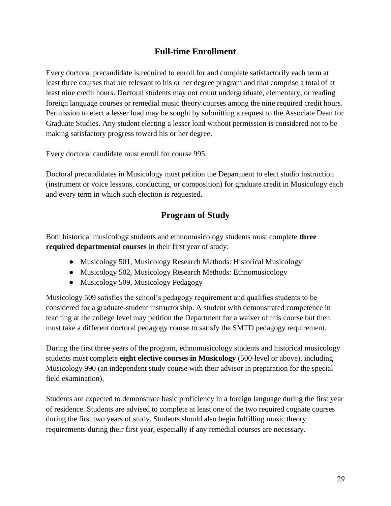## **Full-time Enrollment**

Every doctoral precandidate is required to enroll for and complete satisfactorily each term at least three courses that are relevant to his or her degree program and that comprise a total of at least nine credit hours. Doctoral students may not count undergraduate, elementary, or reading foreign language courses or remedial music theory courses among the nine required credit hours. Permission to elect a lesser load may be sought by submitting a request to the Associate Dean for Graduate Studies. Any student electing a lesser load without permission is considered not to be making satisfactory progress toward his or her degree.

Every doctoral candidate must enroll for course 995.

Doctoral precandidates in Musicology must petition the Department to elect studio instruction (instrument or voice lessons, conducting, or composition) for graduate credit in Musicology each and every term in which such election is requested.

## **Program of Study**

Both historical musicology students and ethnomusicology students must complete **three required departmental courses** in their first year of study:

- Musicology 501, Musicology Research Methods: Historical Musicology
- Musicology 502, Musicology Research Methods: Ethnomusicology
- Musicology 509, Musicology Pedagogy

Musicology 509 satisfies the school's pedagogy requirement and qualifies students to be considered for a graduate-student instructorship. A student with demonstrated competence in teaching at the college level may petition the Department for a waiver of this course but then must take a different doctoral pedagogy course to satisfy the SMTD pedagogy requirement.

During the first three years of the program, ethnomusicology students and historical musicology students must complete **eight elective courses in Musicology** (500-level or above), including Musicology 990 (an independent study course with their advisor in preparation for the special field examination).

Students are expected to demonstrate basic proficiency in a foreign language during the first year of residence. Students are advised to complete at least one of the two required cognate courses during the first two years of study. Students should also begin fulfilling music theory requirements during their first year, especially if any remedial courses are necessary.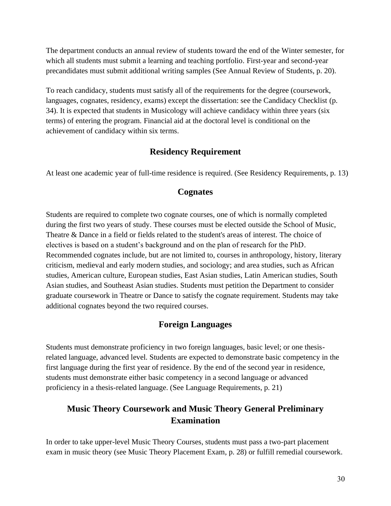The department conducts an annual review of students toward the end of the Winter semester, for which all students must submit a learning and teaching portfolio. First-year and second-year precandidates must submit additional writing samples (See Annual Review of Students, p. 20).

To reach candidacy, students must satisfy all of the requirements for the degree (coursework, languages, cognates, residency, exams) except the dissertation: see the Candidacy Checklist (p. 34). It is expected that students in Musicology will achieve candidacy within three years (six terms) of entering the program. Financial aid at the doctoral level is conditional on the achievement of candidacy within six terms.

## **Residency Requirement**

At least one academic year of full-time residence is required. (See Residency Requirements, p. 13)

## **Cognates**

Students are required to complete two cognate courses, one of which is normally completed during the first two years of study. These courses must be elected outside the School of Music, Theatre & Dance in a field or fields related to the student's areas of interest. The choice of electives is based on a student's background and on the plan of research for the PhD. Recommended cognates include, but are not limited to, courses in anthropology, history, literary criticism, medieval and early modern studies, and sociology; and area studies, such as African studies, American culture, European studies, East Asian studies, Latin American studies, South Asian studies, and Southeast Asian studies. Students must petition the Department to consider graduate coursework in Theatre or Dance to satisfy the cognate requirement. Students may take additional cognates beyond the two required courses.

## **Foreign Languages**

Students must demonstrate proficiency in two foreign languages, basic level; or one thesisrelated language, advanced level. Students are expected to demonstrate basic competency in the first language during the first year of residence. By the end of the second year in residence, students must demonstrate either basic competency in a second language or advanced proficiency in a thesis-related language. (See Language Requirements, p. 21)

## **Music Theory Coursework and Music Theory General Preliminary Examination**

In order to take upper-level Music Theory Courses, students must pass a two-part placement exam in music theory (see Music Theory Placement Exam, p. 28) or fulfill remedial coursework.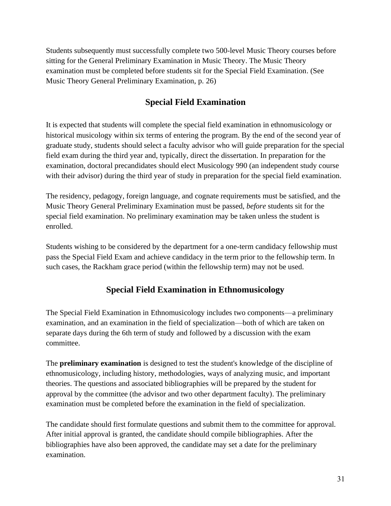Students subsequently must successfully complete two 500-level Music Theory courses before sitting for the General Preliminary Examination in Music Theory. The Music Theory examination must be completed before students sit for the Special Field Examination. (See Music Theory General Preliminary Examination, p. 26)

## **Special Field Examination**

It is expected that students will complete the special field examination in ethnomusicology or historical musicology within six terms of entering the program. By the end of the second year of graduate study, students should select a faculty advisor who will guide preparation for the special field exam during the third year and, typically, direct the dissertation. In preparation for the examination, doctoral precandidates should elect Musicology 990 (an independent study course with their advisor) during the third year of study in preparation for the special field examination.

The residency, pedagogy, foreign language, and cognate requirements must be satisfied, and the Music Theory General Preliminary Examination must be passed, *before* students sit for the special field examination. No preliminary examination may be taken unless the student is enrolled.

Students wishing to be considered by the department for a one-term candidacy fellowship must pass the Special Field Exam and achieve candidacy in the term prior to the fellowship term. In such cases, the Rackham grace period (within the fellowship term) may not be used.

## **Special Field Examination in Ethnomusicology**

The Special Field Examination in Ethnomusicology includes two components––a preliminary examination, and an examination in the field of specialization––both of which are taken on separate days during the 6th term of study and followed by a discussion with the exam committee.

The **preliminary examination** is designed to test the student's knowledge of the discipline of ethnomusicology, including history, methodologies, ways of analyzing music, and important theories. The questions and associated bibliographies will be prepared by the student for approval by the committee (the advisor and two other department faculty). The preliminary examination must be completed before the examination in the field of specialization.

The candidate should first formulate questions and submit them to the committee for approval. After initial approval is granted, the candidate should compile bibliographies. After the bibliographies have also been approved, the candidate may set a date for the preliminary examination.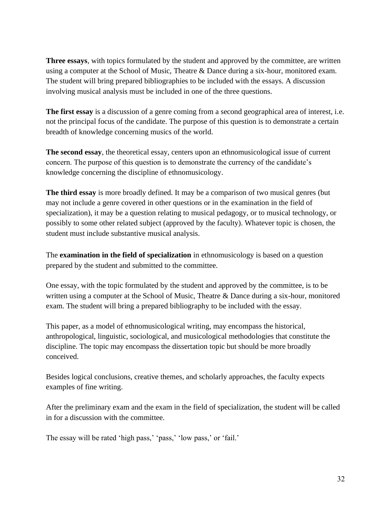**Three essays**, with topics formulated by the student and approved by the committee, are written using a computer at the School of Music, Theatre & Dance during a six-hour, monitored exam. The student will bring prepared bibliographies to be included with the essays. A discussion involving musical analysis must be included in one of the three questions.

**The first essay** is a discussion of a genre coming from a second geographical area of interest, i.e. not the principal focus of the candidate. The purpose of this question is to demonstrate a certain breadth of knowledge concerning musics of the world.

**The second essay**, the theoretical essay, centers upon an ethnomusicological issue of current concern. The purpose of this question is to demonstrate the currency of the candidate's knowledge concerning the discipline of ethnomusicology.

**The third essay** is more broadly defined. It may be a comparison of two musical genres (but may not include a genre covered in other questions or in the examination in the field of specialization), it may be a question relating to musical pedagogy, or to musical technology, or possibly to some other related subject (approved by the faculty). Whatever topic is chosen, the student must include substantive musical analysis.

The **examination in the field of specialization** in ethnomusicology is based on a question prepared by the student and submitted to the committee.

One essay, with the topic formulated by the student and approved by the committee, is to be written using a computer at the School of Music, Theatre & Dance during a six-hour, monitored exam. The student will bring a prepared bibliography to be included with the essay.

This paper, as a model of ethnomusicological writing, may encompass the historical, anthropological, linguistic, sociological, and musicological methodologies that constitute the discipline. The topic may encompass the dissertation topic but should be more broadly conceived.

Besides logical conclusions, creative themes, and scholarly approaches, the faculty expects examples of fine writing.

After the preliminary exam and the exam in the field of specialization, the student will be called in for a discussion with the committee.

The essay will be rated 'high pass,' 'pass,' 'low pass,' or 'fail.'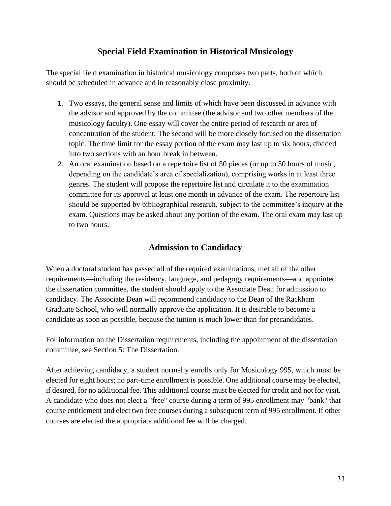## **Special Field Examination in Historical Musicology**

The special field examination in historical musicology comprises two parts, both of which should be scheduled in advance and in reasonably close proximity.

- 1. Two essays, the general sense and limits of which have been discussed in advance with the advisor and approved by the committee (the advisor and two other members of the musicology faculty). One essay will cover the entire period of research or area of concentration of the student. The second will be more closely focused on the dissertation topic. The time limit for the essay portion of the exam may last up to six hours, divided into two sections with an hour break in between.
- 2. An oral examination based on a repertoire list of 50 pieces (or up to 50 hours of music, depending on the candidate's area of specialization), comprising works in at least three genres. The student will propose the repertoire list and circulate it to the examination committee for its approval at least one month in advance of the exam. The repertoire list should be supported by bibliographical research, subject to the committee's inquiry at the exam. Questions may be asked about any portion of the exam. The oral exam may last up to two hours.

## **Admission to Candidacy**

When a doctoral student has passed all of the required examinations, met all of the other requirements—including the residency, language, and pedagogy requirements—and appointed the dissertation committee, the student should apply to the Associate Dean for admission to candidacy. The Associate Dean will recommend candidacy to the Dean of the Rackham Graduate School, who will normally approve the application. It is desirable to become a candidate as soon as possible, because the tuition is much lower than for precandidates.

For information on the Dissertation requirements, including the appointment of the dissertation committee, see Section 5: The Dissertation.

After achieving candidacy, a student normally enrolls only for Musicology 995, which must be elected for eight hours; no part-time enrollment is possible. One additional course may be elected, if desired, for no additional fee. This additional course must be elected for credit and not for visit. A candidate who does not elect a "free" course during a term of 995 enrollment may "bank" that course entitlement and elect two free courses during a subsequent term of 995 enrollment. If other courses are elected the appropriate additional fee will be charged.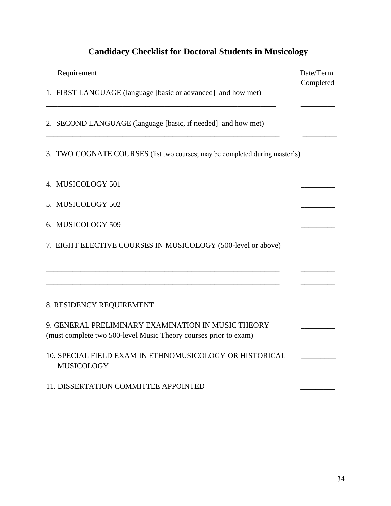## **Candidacy Checklist for Doctoral Students in Musicology**

| Requirement                                                                                                            | Date/Term<br>Completed |
|------------------------------------------------------------------------------------------------------------------------|------------------------|
| 1. FIRST LANGUAGE (language [basic or advanced] and how met)                                                           |                        |
| 2. SECOND LANGUAGE (language [basic, if needed] and how met)                                                           |                        |
| 3. TWO COGNATE COURSES (list two courses; may be completed during master's)                                            |                        |
| 4. MUSICOLOGY 501                                                                                                      |                        |
| 5. MUSICOLOGY 502                                                                                                      |                        |
| 6. MUSICOLOGY 509                                                                                                      |                        |
| 7. EIGHT ELECTIVE COURSES IN MUSICOLOGY (500-level or above)                                                           |                        |
|                                                                                                                        |                        |
| 8. RESIDENCY REQUIREMENT                                                                                               |                        |
| 9. GENERAL PRELIMINARY EXAMINATION IN MUSIC THEORY<br>(must complete two 500-level Music Theory courses prior to exam) |                        |
| 10. SPECIAL FIELD EXAM IN ETHNOMUSICOLOGY OR HISTORICAL<br><b>MUSICOLOGY</b>                                           |                        |
| 11. DISSERTATION COMMITTEE APPOINTED                                                                                   |                        |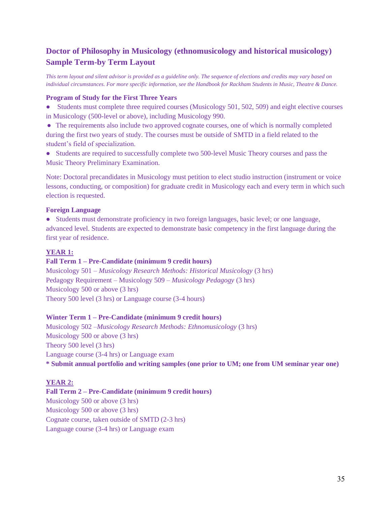## **Doctor of Philosophy in Musicology (ethnomusicology and historical musicology) Sample Term-by Term Layout**

*This term layout and silent advisor is provided as a guideline only. The sequence of elections and credits may vary based on individual circumstances. For more specific information, see the Handbook for Rackham Students in Music, Theatre & Dance.* 

#### **Program of Study for the First Three Years**

• Students must complete three required courses (Musicology 501, 502, 509) and eight elective courses in Musicology (500-level or above), including Musicology 990.

• The requirements also include two approved cognate courses, one of which is normally completed during the first two years of study. The courses must be outside of SMTD in a field related to the student's field of specialization.

• Students are required to successfully complete two 500-level Music Theory courses and pass the Music Theory Preliminary Examination.

Note: Doctoral precandidates in Musicology must petition to elect studio instruction (instrument or voice lessons, conducting, or composition) for graduate credit in Musicology each and every term in which such election is requested.

#### **Foreign Language**

● Students must demonstrate proficiency in two foreign languages, basic level; or one language, advanced level. Students are expected to demonstrate basic competency in the first language during the first year of residence.

#### **YEAR 1:**

#### **Fall Term 1 – Pre-Candidate (minimum 9 credit hours)**

Musicology 501 – *Musicology Research Methods: Historical Musicology* (3 hrs) Pedagogy Requirement – Musicology 509 – *Musicology Pedagogy* (3 hrs) Musicology 500 or above (3 hrs) Theory 500 level (3 hrs) or Language course (3-4 hours)

#### **Winter Term 1 – Pre-Candidate (minimum 9 credit hours)**

Musicology 502 –*Musicology Research Methods: Ethnomusicology* (3 hrs) Musicology 500 or above (3 hrs) Theory 500 level (3 hrs) Language course (3-4 hrs) or Language exam **\* Submit annual portfolio and writing samples (one prior to UM; one from UM seminar year one)**

#### **YEAR 2:**

**Fall Term 2 – Pre-Candidate (minimum 9 credit hours)** Musicology 500 or above (3 hrs) Musicology 500 or above (3 hrs) Cognate course, taken outside of SMTD (2-3 hrs) Language course (3-4 hrs) or Language exam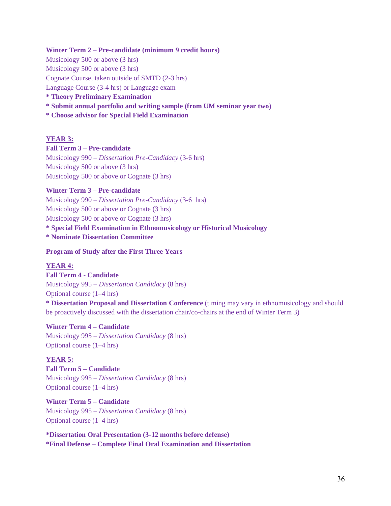#### **Winter Term 2 – Pre-candidate (minimum 9 credit hours)**

Musicology 500 or above (3 hrs) Musicology 500 or above (3 hrs) Cognate Course, taken outside of SMTD (2-3 hrs) Language Course (3-4 hrs) or Language exam **\* Theory Preliminary Examination \* Submit annual portfolio and writing sample (from UM seminar year two) \* Choose advisor for Special Field Examination**

#### **YEAR 3:**

#### **Fall Term 3 – Pre-candidate**

Musicology 990 – *Dissertation Pre-Candidacy* (3-6 hrs) Musicology 500 or above (3 hrs) Musicology 500 or above or Cognate (3 hrs)

#### **Winter Term 3 – Pre-candidate**

Musicology 990 – *Dissertation Pre-Candidacy* (3-6 hrs) Musicology 500 or above or Cognate (3 hrs) Musicology 500 or above or Cognate (3 hrs) **\* Special Field Examination in Ethnomusicology or Historical Musicology \* Nominate Dissertation Committee**

**Program of Study after the First Three Years**

#### **YEAR 4:**

**Fall Term 4 - Candidate** Musicology 995 – *Dissertation Candidacy* (8 hrs) Optional course (1–4 hrs)

**\* Dissertation Proposal and Dissertation Conference** (timing may vary in ethnomusicology and should be proactively discussed with the dissertation chair/co-chairs at the end of Winter Term 3)

#### **Winter Term 4 – Candidate**

Musicology 995 – *Dissertation Candidacy* (8 hrs) Optional course (1–4 hrs)

#### **YEAR 5:**

**Fall Term 5 – Candidate** Musicology 995 – *Dissertation Candidacy* (8 hrs) Optional course (1–4 hrs)

**Winter Term 5 – Candidate** Musicology 995 – *Dissertation Candidacy* (8 hrs) Optional course (1–4 hrs)

**\*Dissertation Oral Presentation (3-12 months before defense) \*Final Defense – Complete Final Oral Examination and Dissertation**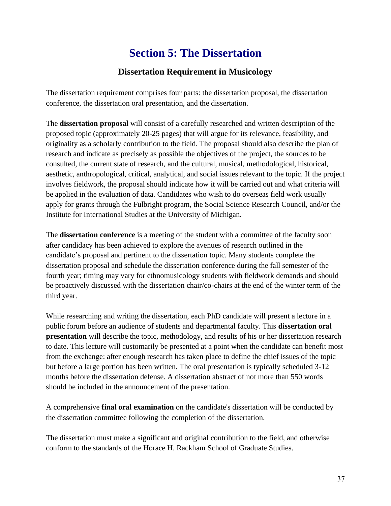# **Section 5: The Dissertation**

## **Dissertation Requirement in Musicology**

The dissertation requirement comprises four parts: the dissertation proposal, the dissertation conference, the dissertation oral presentation, and the dissertation.

The **dissertation proposal** will consist of a carefully researched and written description of the proposed topic (approximately 20-25 pages) that will argue for its relevance, feasibility, and originality as a scholarly contribution to the field. The proposal should also describe the plan of research and indicate as precisely as possible the objectives of the project, the sources to be consulted, the current state of research, and the cultural, musical, methodological, historical, aesthetic, anthropological, critical, analytical, and social issues relevant to the topic. If the project involves fieldwork, the proposal should indicate how it will be carried out and what criteria will be applied in the evaluation of data. Candidates who wish to do overseas field work usually apply for grants through the Fulbright program, the Social Science Research Council, and/or the Institute for International Studies at the University of Michigan.

The **dissertation conference** is a meeting of the student with a committee of the faculty soon after candidacy has been achieved to explore the avenues of research outlined in the candidate's proposal and pertinent to the dissertation topic. Many students complete the dissertation proposal and schedule the dissertation conference during the fall semester of the fourth year; timing may vary for ethnomusicology students with fieldwork demands and should be proactively discussed with the dissertation chair/co-chairs at the end of the winter term of the third year.

While researching and writing the dissertation, each PhD candidate will present a lecture in a public forum before an audience of students and departmental faculty. This **dissertation oral presentation** will describe the topic, methodology, and results of his or her dissertation research to date. This lecture will customarily be presented at a point when the candidate can benefit most from the exchange: after enough research has taken place to define the chief issues of the topic but before a large portion has been written. The oral presentation is typically scheduled 3-12 months before the dissertation defense. A dissertation abstract of not more than 550 words should be included in the announcement of the presentation.

A comprehensive **final oral examination** on the candidate's dissertation will be conducted by the dissertation committee following the completion of the dissertation.

The dissertation must make a significant and original contribution to the field, and otherwise conform to the standards of the Horace H. Rackham School of Graduate Studies.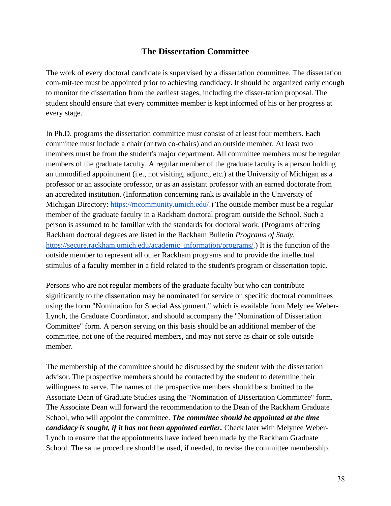### **The Dissertation Committee**

The work of every doctoral candidate is supervised by a dissertation committee. The dissertation com-mit-tee must be appointed prior to achieving candidacy. It should be organized early enough to monitor the dissertation from the earliest stages, including the disser-tation proposal. The student should ensure that every committee member is kept informed of his or her progress at every stage.

In Ph.D. programs the dissertation committee must consist of at least four members. Each committee must include a chair (or two co-chairs) and an outside member. At least two members must be from the student's major department. All committee members must be regular members of the graduate faculty. A regular member of the graduate faculty is a person holding an unmodified appointment (i.e., not visiting, adjunct, etc.) at the University of Michigan as a professor or an associate professor, or as an assistant professor with an earned doctorate from an accredited institution. (Information concerning rank is available in the University of Michigan Directory: [https://mcommunity.umich.edu/.](https://mcommunity.umich.edu/)) The outside member must be a regular member of the graduate faculty in a Rackham doctoral program outside the School. Such a person is assumed to be familiar with the standards for doctoral work. (Programs offering Rackham doctoral degrees are listed in the Rackham Bulletin *Programs of Study*, [https://secure.rackham.umich.edu/academic\\_information/programs/.](https://secure.rackham.umich.edu/academic_information/programs)) It is the function of the outside member to represent all other Rackham programs and to provide the intellectual stimulus of a faculty member in a field related to the student's program or dissertation topic.

Persons who are not regular members of the graduate faculty but who can contribute significantly to the dissertation may be nominated for service on specific doctoral committees using the form "Nomination for Special Assignment," which is available from Melynee Weber-Lynch, the Graduate Coordinator, and should accompany the "Nomination of Dissertation Committee" form. A person serving on this basis should be an additional member of the committee, not one of the required members, and may not serve as chair or sole outside member.

The membership of the committee should be discussed by the student with the dissertation advisor. The prospective members should be contacted by the student to determine their willingness to serve. The names of the prospective members should be submitted to the Associate Dean of Graduate Studies using the "Nomination of Dissertation Committee" form. The Associate Dean will forward the recommendation to the Dean of the Rackham Graduate School, who will appoint the committee. *The committee should be appointed at the time candidacy is sought, if it has not been appointed earlier.* Check later with Melynee Weber-Lynch to ensure that the appointments have indeed been made by the Rackham Graduate School. The same procedure should be used, if needed, to revise the committee membership.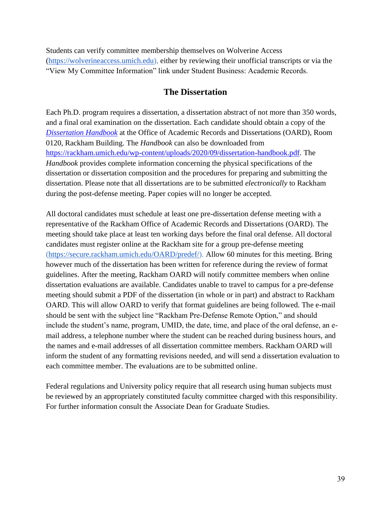Students can verify committee membership themselves on Wolverine Access [\(https://wolverineaccess.umich.edu\)](https://wolverineaccess.umich.edu/), either by reviewing their unofficial transcripts or via the "View My Committee Information" link under Student Business: Academic Records.

#### **The Dissertation**

Each Ph.D. program requires a dissertation, a dissertation abstract of not more than 350 words, and a final oral examination on the dissertation. Each candidate should obtain a copy of the *[Dissertation Handbook](https://rackham.umich.edu/wp-content/uploads/2020/09/dissertation-handbook.pdf)* at the Office of Academic Records and Dissertations (OARD), Room 0120, Rackham Building. The *Handbook* can also be downloaded from [https://rackham.umich.edu/wp-content/uploads/2020/09/dissertation-handbook.pdf.](https://rackham.umich.edu/wp-content/uploads/2020/09/dissertation-handbook.pdf) The *Handbook* provides complete information concerning the physical specifications of the dissertation or dissertation composition and the procedures for preparing and submitting the dissertation. Please note that all dissertations are to be submitted *electronically* to Rackham during the post-defense meeting. Paper copies will no longer be accepted.

All doctoral candidates must schedule at least one pre-dissertation defense meeting with a representative of the Rackham Office of Academic Records and Dissertations (OARD). The meeting should take place at least ten working days before the final oral defense. All doctoral candidates must register online at the Rackham site for a group pre-defense meeting [\(https://secure.rackham.umich.edu/OARD/predef/\)](https://secure.rackham.umich.edu/OARD/predef/). Allow 60 minutes for this meeting. Bring however much of the dissertation has been written for reference during the review of format guidelines. After the meeting, Rackham OARD will notify committee members when online dissertation evaluations are available. Candidates unable to travel to campus for a pre-defense meeting should submit a PDF of the dissertation (in whole or in part) and abstract to Rackham OARD. This will allow OARD to verify that format guidelines are being followed. The e-mail should be sent with the subject line "Rackham Pre-Defense Remote Option," and should include the student's name, program, UMID, the date, time, and place of the oral defense, an email address, a telephone number where the student can be reached during business hours, and the names and e-mail addresses of all dissertation committee members. Rackham OARD will inform the student of any formatting revisions needed, and will send a dissertation evaluation to each committee member. The evaluations are to be submitted online.

Federal regulations and University policy require that all research using human subjects must be reviewed by an appropriately constituted faculty committee charged with this responsibility. For further information consult the Associate Dean for Graduate Studies.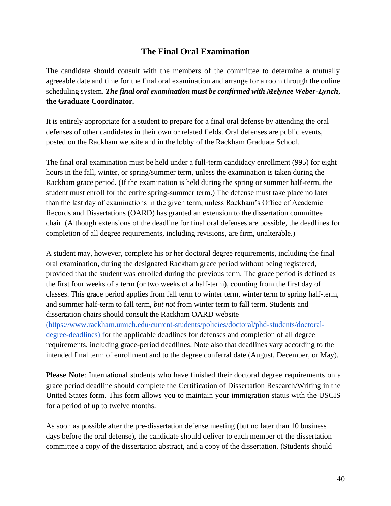### **The Final Oral Examination**

The candidate should consult with the members of the committee to determine a mutually agreeable date and time for the final oral examination and arrange for a room through the online scheduling system. *The final oral examination must be confirmed with Melynee Weber-Lynch*, **the Graduate Coordinator.**

It is entirely appropriate for a student to prepare for a final oral defense by attending the oral defenses of other candidates in their own or related fields. Oral defenses are public events, posted on the Rackham website and in the lobby of the Rackham Graduate School.

The final oral examination must be held under a full-term candidacy enrollment (995) for eight hours in the fall, winter, or spring/summer term, unless the examination is taken during the Rackham grace period. (If the examination is held during the spring or summer half-term, the student must enroll for the entire spring-summer term.) The defense must take place no later than the last day of examinations in the given term, unless Rackham's Office of Academic Records and Dissertations (OARD) has granted an extension to the dissertation committee chair. (Although extensions of the deadline for final oral defenses are possible, the deadlines for completion of all degree requirements, including revisions, are firm, unalterable.)

A student may, however, complete his or her doctoral degree requirements, including the final oral examination, during the designated Rackham grace period without being registered, provided that the student was enrolled during the previous term. The grace period is defined as the first four weeks of a term (or two weeks of a half-term), counting from the first day of classes. This grace period applies from fall term to winter term, winter term to spring half-term, and summer half-term to fall term, *but not* from winter term to fall term. Students and dissertation chairs should consult the Rackham OARD website

[\(https://www.rackham.umich.edu/current-students/policies/doctoral/phd-students/doctoral](https://www.rackham.umich.edu/current-students/policies/doctoral/phd-students/doctoral-degree-deadlines)[degree-deadlines\)](https://www.rackham.umich.edu/current-students/policies/doctoral/phd-students/doctoral-degree-deadlines) for the applicable deadlines for defenses and completion of all degree requirements, including grace-period deadlines. Note also that deadlines vary according to the intended final term of enrollment and to the degree conferral date (August, December, or May).

**Please Note**: International students who have finished their doctoral degree requirements on a grace period deadline should complete the Certification of Dissertation Research/Writing in the United States form. This form allows you to maintain your immigration status with the USCIS for a period of up to twelve months.

As soon as possible after the pre-dissertation defense meeting (but no later than 10 business days before the oral defense), the candidate should deliver to each member of the dissertation committee a copy of the dissertation abstract, and a copy of the dissertation. (Students should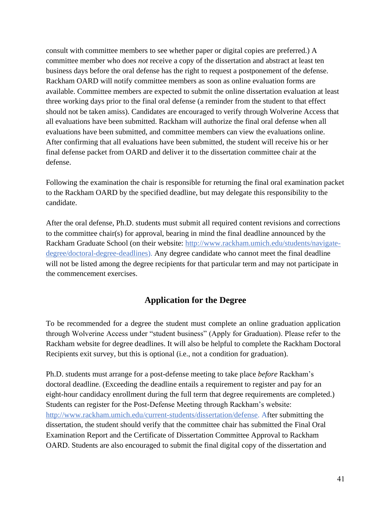consult with committee members to see whether paper or digital copies are preferred.) A committee member who does *not* receive a copy of the dissertation and abstract at least ten business days before the oral defense has the right to request a postponement of the defense. Rackham OARD will notify committee members as soon as online evaluation forms are available. Committee members are expected to submit the online dissertation evaluation at least three working days prior to the final oral defense (a reminder from the student to that effect should not be taken amiss). Candidates are encouraged to verify through Wolverine Access that all evaluations have been submitted. Rackham will authorize the final oral defense when all evaluations have been submitted, and committee members can view the evaluations online. After confirming that all evaluations have been submitted, the student will receive his or her final defense packet from OARD and deliver it to the dissertation committee chair at the defense.

Following the examination the chair is responsible for returning the final oral examination packet to the Rackham OARD by the specified deadline, but may delegate this responsibility to the candidate.

After the oral defense, Ph.D. students must submit all required content revisions and corrections to the committee chair(s) for approval, bearing in mind the final deadline announced by the Rackham Graduate School (on their website: [http://www.rackham.umich.edu/students/navigate](http://www.rackham.umich.edu/students/navigate-degree/doctoral-degree-deadlines))[degree/doctoral-degree-deadlines\).](http://www.rackham.umich.edu/students/navigate-degree/doctoral-degree-deadlines)) Any degree candidate who cannot meet the final deadline will not be listed among the degree recipients for that particular term and may not participate in the commencement exercises.

## **Application for the Degree**

To be recommended for a degree the student must complete an online graduation application through Wolverine Access under "student business" (Apply for Graduation). Please refer to the Rackham website for degree deadlines. It will also be helpful to complete the Rackham Doctoral Recipients exit survey, but this is optional (i.e., not a condition for graduation).

Ph.D. students must arrange for a post-defense meeting to take place *before* Rackham's doctoral deadline. (Exceeding the deadline entails a requirement to register and pay for an eight-hour candidacy enrollment during the full term that degree requirements are completed.) Students can register for the Post-Defense Meeting through Rackham's website: [http://www.rackham.umich.edu/current-students/dissertation/defense.](http://www.rackham.umich.edu/current-students/dissertation/defense) After submitting the dissertation, the student should verify that the committee chair has submitted the Final Oral Examination Report and the Certificate of Dissertation Committee Approval to Rackham OARD. Students are also encouraged to submit the final digital copy of the dissertation and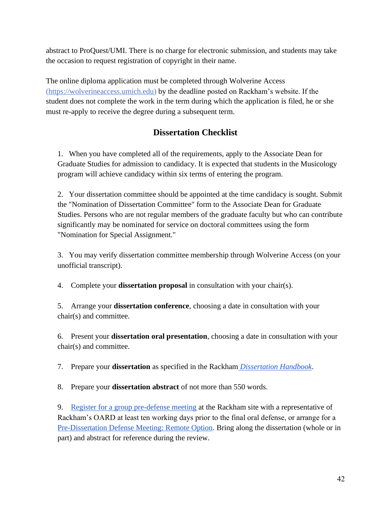abstract to ProQuest/UMI. There is no charge for electronic submission, and students may take the occasion to request registration of copyright in their name.

The online diploma application must be completed through Wolverine Access (https://wolverineaccess.umich.edu) by the deadline posted on Rackham's website. If the student does not complete the work in the term during which the application is filed, he or she must re-apply to receive the degree during a subsequent term.

## **Dissertation Checklist**

1. When you have completed all of the requirements, apply to the Associate Dean for Graduate Studies for admission to candidacy. It is expected that students in the Musicology program will achieve candidacy within six terms of entering the program.

2. Your dissertation committee should be appointed at the time candidacy is sought. Submit the "Nomination of Dissertation Committee" form to the Associate Dean for Graduate Studies. Persons who are not regular members of the graduate faculty but who can contribute significantly may be nominated for service on doctoral committees using the form "Nomination for Special Assignment."

3. You may verify dissertation committee membership through Wolverine Access (on your unofficial transcript).

4. Complete your **dissertation proposal** in consultation with your chair(s).

5. Arrange your **dissertation conference**, choosing a date in consultation with your chair(s) and committee.

6. Present your **dissertation oral presentation**, choosing a date in consultation with your chair(s) and committee.

7. Prepare your **dissertation** as specified in the Rackham *[Dissertation Handbook](https://rackham.umich.edu/wp-content/uploads/2020/09/dissertation-handbook.pdf)*.

8. Prepare your **dissertation abstract** of not more than 550 words.

9. [Register for a group pre-defense meeting](https://secure.rackham.umich.edu/OARD/predef/) at the Rackham site with a representative of Rackham's OARD at least ten working days prior to the final oral defense, or arrange for a [Pre-Dissertation Defense Meeting: Remote Option.](http://www.rackham.umich.edu/current-students/dissertation/defense/pre-dissertation-defense-meeting-remote-option) Bring along the dissertation (whole or in part) and abstract for reference during the review.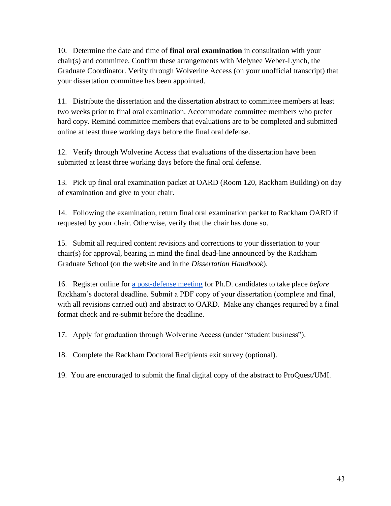10. Determine the date and time of **final oral examination** in consultation with your chair(s) and committee. Confirm these arrangements with Melynee Weber-Lynch, the Graduate Coordinator. Verify through Wolverine Access (on your unofficial transcript) that your dissertation committee has been appointed.

11. Distribute the dissertation and the dissertation abstract to committee members at least two weeks prior to final oral examination. Accommodate committee members who prefer hard copy. Remind committee members that evaluations are to be completed and submitted online at least three working days before the final oral defense.

12. Verify through Wolverine Access that evaluations of the dissertation have been submitted at least three working days before the final oral defense.

13. Pick up final oral examination packet at OARD (Room 120, Rackham Building) on day of examination and give to your chair.

14. Following the examination, return final oral examination packet to Rackham OARD if requested by your chair. Otherwise, verify that the chair has done so.

15. Submit all required content revisions and corrections to your dissertation to your chair(s) for approval, bearing in mind the final dead-line announced by the Rackham Graduate School (on the website and in the *Dissertation Handbook*).

16. Register online for [a post-defense meeting](https://secure.rackham.umich.edu/OARD/postdef/) for Ph.D. candidates to take place *before*  Rackham's doctoral deadline. Submit a PDF copy of your dissertation (complete and final, with all revisions carried out) and abstract to OARD. Make any changes required by a final format check and re-submit before the deadline.

17. Apply for graduation through Wolverine Access (under "student business").

18. Complete the Rackham Doctoral Recipients exit survey (optional).

19. You are encouraged to submit the final digital copy of the abstract to ProQuest/UMI.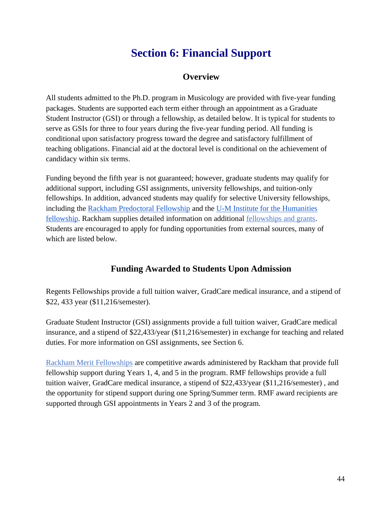# **Section 6: Financial Support**

## **Overview**

All students admitted to the Ph.D. program in Musicology are provided with five-year funding packages. Students are supported each term either through an appointment as a Graduate Student Instructor (GSI) or through a fellowship, as detailed below. It is typical for students to serve as GSIs for three to four years during the five-year funding period. All funding is conditional upon satisfactory progress toward the degree and satisfactory fulfillment of teaching obligations. Financial aid at the doctoral level is conditional on the achievement of candidacy within six terms.

Funding beyond the fifth year is not guaranteed; however, graduate students may qualify for additional support, including GSI assignments, university fellowships, and tuition-only fellowships. In addition, advanced students may qualify for selective University fellowships, including the [Rackham Predoctoral Fellowship](https://rackham.umich.edu/funding/funding-types/rackham-predoctoral-fellowship-program/) and the [U-M Institute for the Humanities](https://lsa.umich.edu/humanities/grad-students/humanities-institute-graduate-student-fellowships.html)  [fellowship.](https://lsa.umich.edu/humanities/grad-students/humanities-institute-graduate-student-fellowships.html) Rackham supplies detailed information on additional [fellowships and grants.](http://www.rackham.umich.edu/funding/) Students are encouraged to apply for funding opportunities from external sources, many of which are listed below.

## **Funding Awarded to Students Upon Admission**

Regents Fellowships provide a full tuition waiver, GradCare medical insurance, and a stipend of \$22, 433 year (\$11,216/semester).

Graduate Student Instructor (GSI) assignments provide a full tuition waiver, GradCare medical insurance, and a stipend of \$22,433/year (\$11,216/semester) in exchange for teaching and related duties. For more information on GSI assignments, see Section 6.

[Rackham Merit Fellowships](http://www.rackham.umich.edu/funding/rmf) are competitive awards administered by Rackham that provide full fellowship support during Years 1, 4, and 5 in the program. RMF fellowships provide a full tuition waiver, GradCare medical insurance, a stipend of \$22,433/year (\$11,216/semester) , and the opportunity for stipend support during one Spring/Summer term. RMF award recipients are supported through GSI appointments in Years 2 and 3 of the program.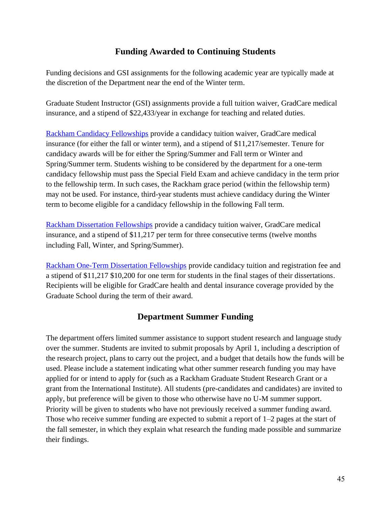## **Funding Awarded to Continuing Students**

Funding decisions and GSI assignments for the following academic year are typically made at the discretion of the Department near the end of the Winter term.

Graduate Student Instructor (GSI) assignments provide a full tuition waiver, GradCare medical insurance, and a stipend of \$22,433/year in exchange for teaching and related duties.

[Rackham Candidacy Fellowships](https://rackham.umich.edu/funding/funding-types/rackham-humanities-research-fellowship/) provide a candidacy tuition waiver, GradCare medical insurance (for either the fall or winter term), and a stipend of \$11,217/semester. Tenure for candidacy awards will be for either the Spring/Summer and Fall term or Winter and Spring/Summer term. Students wishing to be considered by the department for a one-term candidacy fellowship must pass the Special Field Exam and achieve candidacy in the term prior to the fellowship term. In such cases, the Rackham grace period (within the fellowship term) may not be used. For instance, third-year students must achieve candidacy during the Winter term to become eligible for a candidacy fellowship in the following Fall term.

[Rackham Dissertation Fellowships](http://www.rackham.umich.edu/prospective-students/funding/nomination-allocation/humanities-research-fellowship) provide a candidacy tuition waiver, GradCare medical insurance, and a stipend of \$11,217 per term for three consecutive terms (twelve months including Fall, Winter, and Spring/Summer).

[Rackham One-Term Dissertation Fellowships](https://rackham.umich.edu/funding/funding-types/rackham-one-term-dissertation-fellowship/) provide candidacy tuition and registration fee and a stipend of \$11,217 \$10,200 for one term for students in the final stages of their dissertations. Recipients will be eligible for GradCare health and dental insurance coverage provided by the Graduate School during the term of their award.

## **Department Summer Funding**

The department offers limited summer assistance to support student research and language study over the summer. Students are invited to submit proposals by April 1, including a description of the research project, plans to carry out the project, and a budget that details how the funds will be used. Please include a statement indicating what other summer research funding you may have applied for or intend to apply for (such as a Rackham Graduate Student Research Grant or a grant from the International Institute). All students (pre-candidates and candidates) are invited to apply, but preference will be given to those who otherwise have no U-M summer support. Priority will be given to students who have not previously received a summer funding award. Those who receive summer funding are expected to submit a report of 1–2 pages at the start of the fall semester, in which they explain what research the funding made possible and summarize their findings.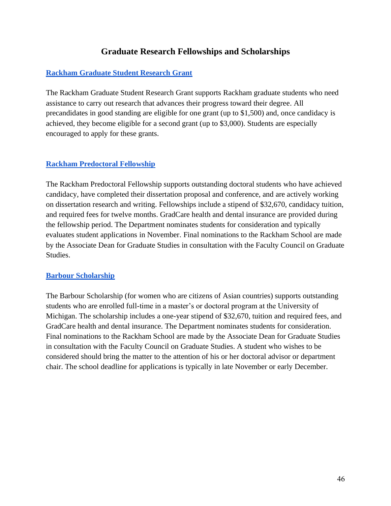### **Graduate Research Fellowships and Scholarships**

#### **[Rackham Graduate Student Research Grant](http://www.rackham.umich.edu/funding/research-grant)**

The Rackham Graduate Student Research Grant supports Rackham graduate students who need assistance to carry out research that advances their progress toward their degree. All precandidates in good standing are eligible for one grant (up to \$1,500) and, once candidacy is achieved, they become eligible for a second grant (up to \$3,000). Students are especially encouraged to apply for these grants.

#### **[Rackham Predoctoral Fellowship](http://www.rackham.umich.edu/funding/predoctoral-fellowship)**

The Rackham Predoctoral Fellowship supports outstanding doctoral students who have achieved candidacy, have completed their dissertation proposal and conference, and are actively working on dissertation research and writing. Fellowships include a stipend of \$32,670, candidacy tuition, and required fees for twelve months. GradCare health and dental insurance are provided during the fellowship period. The Department nominates students for consideration and typically evaluates student applications in November. Final nominations to the Rackham School are made by the Associate Dean for Graduate Studies in consultation with the Faculty Council on Graduate Studies.

#### **[Barbour Scholarship](http://www.rackham.umich.edu/funding/barbour)**

The Barbour Scholarship (for women who are citizens of Asian countries) supports outstanding students who are enrolled full-time in a master's or doctoral program at the University of Michigan. The scholarship includes a one-year stipend of \$32,670, tuition and required fees, and GradCare health and dental insurance. The Department nominates students for consideration. Final nominations to the Rackham School are made by the Associate Dean for Graduate Studies in consultation with the Faculty Council on Graduate Studies. A student who wishes to be considered should bring the matter to the attention of his or her doctoral advisor or department chair. The school deadline for applications is typically in late November or early December.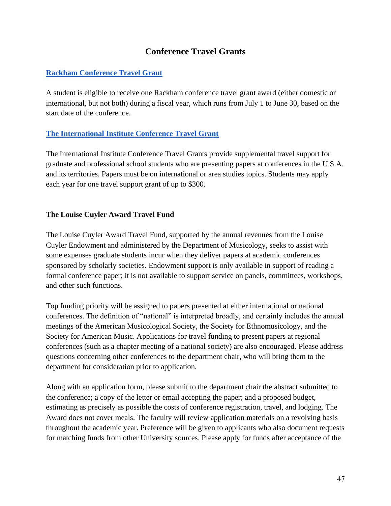## **Conference Travel Grants**

#### **[Rackham Conference Travel Grant](http://www.rackham.umich.edu/funding/conference-travel-grant)**

A student is eligible to receive one Rackham conference travel grant award (either domestic or international, but not both) during a fiscal year, which runs from July 1 to June 30, based on the start date of the conference.

#### **[The International Institute Conference Travel Grant](https://ii.umich.edu/ii/ii-conference-travel-grants.html)**

The International Institute Conference Travel Grants provide supplemental travel support for graduate and professional school students who are presenting papers at conferences in the U.S.A. and its territories. Papers must be on international or area studies topics. Students may apply each year for one travel support grant of up to \$300.

#### **The Louise Cuyler Award Travel Fund**

The Louise Cuyler Award Travel Fund, supported by the annual revenues from the Louise Cuyler Endowment and administered by the Department of Musicology, seeks to assist with some expenses graduate students incur when they deliver papers at academic conferences sponsored by scholarly societies. Endowment support is only available in support of reading a formal conference paper; it is not available to support service on panels, committees, workshops, and other such functions.

Top funding priority will be assigned to papers presented at either international or national conferences. The definition of "national" is interpreted broadly, and certainly includes the annual meetings of the American Musicological Society, the Society for Ethnomusicology, and the Society for American Music. Applications for travel funding to present papers at regional conferences (such as a chapter meeting of a national society) are also encouraged. Please address questions concerning other conferences to the department chair, who will bring them to the department for consideration prior to application.

Along with an application form, please submit to the department chair the abstract submitted to the conference; a copy of the letter or email accepting the paper; and a proposed budget, estimating as precisely as possible the costs of conference registration, travel, and lodging. The Award does not cover meals. The faculty will review application materials on a revolving basis throughout the academic year. Preference will be given to applicants who also document requests for matching funds from other University sources. Please apply for funds after acceptance of the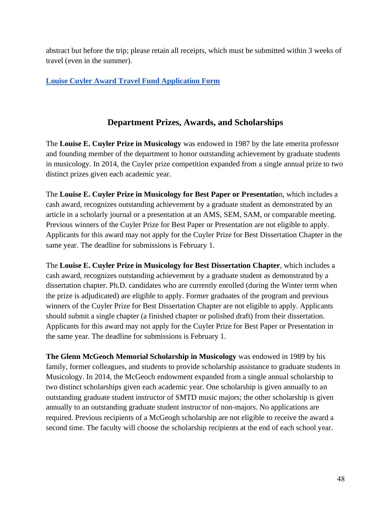abstract but before the trip; please retain all receipts, which must be submitted within 3 weeks of travel (even in the summer).

#### **[Louise Cuyler Award Travel Fund Application Form](http://smtd.umich.edu/wp-content/uploads/2018/09/CuylerTravelAward.pdf)**

## **Department Prizes, Awards, and Scholarships**

The **Louise E. Cuyler Prize in Musicology** was endowed in 1987 by the late emerita professor and founding member of the department to honor outstanding achievement by graduate students in musicology. In 2014, the Cuyler prize competition expanded from a single annual prize to two distinct prizes given each academic year.

The **Louise E. Cuyler Prize in Musicology for Best Paper or Presentatio**n, which includes a cash award, recognizes outstanding achievement by a graduate student as demonstrated by an article in a scholarly journal or a presentation at an AMS, SEM, SAM, or comparable meeting. Previous winners of the Cuyler Prize for Best Paper or Presentation are not eligible to apply. Applicants for this award may not apply for the Cuyler Prize for Best Dissertation Chapter in the same year. The deadline for submissions is February 1.

The **Louise E. Cuyler Prize in Musicology for Best Dissertation Chapter**, which includes a cash award, recognizes outstanding achievement by a graduate student as demonstrated by a dissertation chapter. Ph.D. candidates who are currently enrolled (during the Winter term when the prize is adjudicated) are eligible to apply. Former graduates of the program and previous winners of the Cuyler Prize for Best Dissertation Chapter are not eligible to apply. Applicants should submit a single chapter (a finished chapter or polished draft) from their dissertation. Applicants for this award may not apply for the Cuyler Prize for Best Paper or Presentation in the same year. The deadline for submissions is February 1.

**The Glenn McGeoch Memorial Scholarship in Musicology** was endowed in 1989 by his family, former colleagues, and students to provide scholarship assistance to graduate students in Musicology. In 2014, the McGeoch endowment expanded from a single annual scholarship to two distinct scholarships given each academic year. One scholarship is given annually to an outstanding graduate student instructor of SMTD music majors; the other scholarship is given annually to an outstanding graduate student instructor of non-majors. No applications are required. Previous recipients of a McGeogh scholarship are not eligible to receive the award a second time. The faculty will choose the scholarship recipients at the end of each school year.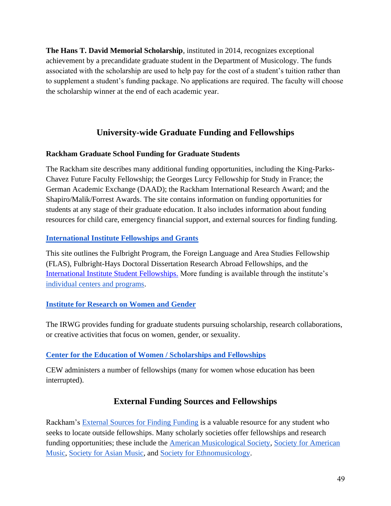**The Hans T. David Memorial Scholarship**, instituted in 2014, recognizes exceptional achievement by a precandidate graduate student in the Department of Musicology. The funds associated with the scholarship are used to help pay for the cost of a student's tuition rather than to supplement a student's funding package. No applications are required. The faculty will choose the scholarship winner at the end of each academic year.

## **University-wide Graduate Funding and Fellowships**

#### **Rackham Graduate School Funding for Graduate Students**

The Rackham site describes many additional funding opportunities, including the King-Parks-Chavez Future Faculty Fellowship; the Georges Lurcy Fellowship for Study in France; the German Academic Exchange (DAAD); the Rackham International Research Award; and the Shapiro/Malik/Forrest Awards. The site contains information on funding opportunities for students at any stage of their graduate education. It also includes information about funding resources for child care, emergency financial support, and external sources for finding funding.

#### **[International Institute Fellowships and Grants](https://ii.umich.edu/ii/undergraduates/fellowships-grants.html)**

This site outlines the Fulbright Program, the Foreign Language and Area Studies Fellowship (FLAS), Fulbright-Hays Doctoral Dissertation Research Abroad Fellowships, and the [International Institute Student Fellowships.](https://ii.umich.edu/ii/iisf.html) More funding is available through the institute's [individual centers and programs.](https://ii.umich.edu/ii/about-us/centers-programs.html)

#### **[Institute for Research on Women and Gender](http://irwg.umich.edu/funding)**

The IRWG provides funding for graduate students pursuing scholarship, research collaborations, or creative activities that focus on women, gender, or sexuality.

#### **[Center for the Education of Women / Scholarships and Fellowships](http://www.cew.umich.edu/funding/cew-scholarships/)**

CEW administers a number of fellowships (many for women whose education has been interrupted).

## **External Funding Sources and Fellowships**

Rackham's [External Sources for Finding Funding](http://guides.lib.umich.edu/studentfunding/external) is a valuable resource for any student who seeks to locate outside fellowships. Many scholarly societies offer fellowships and research funding opportunities; these include the [American Musicological Society,](https://www.amsmusicology.org/) [Society for American](https://www.american-music.org/page/AwardOverview)  [Music,](https://www.american-music.org/page/AwardOverview) [Society for Asian Music,](http://asianmusic.skidmore.edu/SAM-sgrant.html) and [Society for Ethnomusicology.](http://www.ethnomusicology.org/?page=Prizes_Home)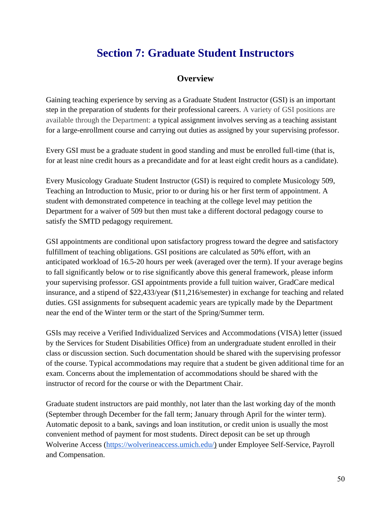# **Section 7: Graduate Student Instructors**

## **Overview**

Gaining teaching experience by serving as a Graduate Student Instructor (GSI) is an important step in the preparation of students for their professional careers. A variety of GSI positions are available through the Department: a typical assignment involves serving as a teaching assistant for a large-enrollment course and carrying out duties as assigned by your supervising professor.

Every GSI must be a graduate student in good standing and must be enrolled full-time (that is, for at least nine credit hours as a precandidate and for at least eight credit hours as a candidate).

Every Musicology Graduate Student Instructor (GSI) is required to complete Musicology 509, Teaching an Introduction to Music, prior to or during his or her first term of appointment. A student with demonstrated competence in teaching at the college level may petition the Department for a waiver of 509 but then must take a different doctoral pedagogy course to satisfy the SMTD pedagogy requirement.

GSI appointments are conditional upon satisfactory progress toward the degree and satisfactory fulfillment of teaching obligations. GSI positions are calculated as 50% effort, with an anticipated workload of 16.5-20 hours per week (averaged over the term). If your average begins to fall significantly below or to rise significantly above this general framework, please inform your supervising professor. GSI appointments provide a full tuition waiver, GradCare medical insurance, and a stipend of \$22,433/year (\$11,216/semester) in exchange for teaching and related duties. GSI assignments for subsequent academic years are typically made by the Department near the end of the Winter term or the start of the Spring/Summer term.

GSIs may receive a Verified Individualized Services and Accommodations (VISA) letter (issued by the Services for Student Disabilities Office) from an undergraduate student enrolled in their class or discussion section. Such documentation should be shared with the supervising professor of the course. Typical accommodations may require that a student be given additional time for an exam. Concerns about the implementation of accommodations should be shared with the instructor of record for the course or with the Department Chair.

Graduate student instructors are paid monthly, not later than the last working day of the month (September through December for the fall term; January through April for the winter term). Automatic deposit to a bank, savings and loan institution, or credit union is usually the most convenient method of payment for most students. Direct deposit can be set up through Wolverine Access [\(https://wolverineaccess.umich.edu/\)](https://wolverineaccess.umich.edu/) under Employee Self-Service, Payroll and Compensation.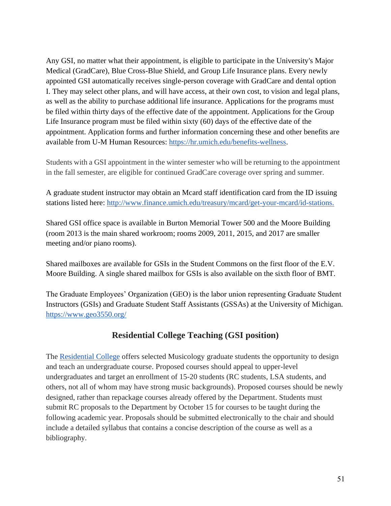Any GSI, no matter what their appointment, is eligible to participate in the University's Major Medical (GradCare), Blue Cross-Blue Shield, and Group Life Insurance plans. Every newly appointed GSI automatically receives single-person coverage with GradCare and dental option I. They may select other plans, and will have access, at their own cost, to vision and legal plans, as well as the ability to purchase additional life insurance. Applications for the programs must be filed within thirty days of the effective date of the appointment. Applications for the Group Life Insurance program must be filed within sixty (60) days of the effective date of the appointment. Application forms and further information concerning these and other benefits are available from U-M Human Resources: [https://hr.umich.edu/benefits-wellness.](https://hr.umich.edu/benefits-wellness)

Students with a GSI appointment in the winter semester who will be returning to the appointment in the fall semester, are eligible for continued GradCare coverage over spring and summer.

A graduate student instructor may obtain an Mcard staff identification card from the ID issuing stations listed here: [http://www.finance.umich.edu/treasury/mcard/get-your-mcard/id-stations.](http://www.finance.umich.edu/treasury/mcard/get-your-mcard/id-stations)

Shared GSI office space is available in Burton Memorial Tower 500 and the Moore Building (room 2013 is the main shared workroom; rooms 2009, 2011, 2015, and 2017 are smaller meeting and/or piano rooms).

Shared mailboxes are available for GSIs in the Student Commons on the first floor of the E.V. Moore Building. A single shared mailbox for GSIs is also available on the sixth floor of BMT.

The Graduate Employees' Organization (GEO) is the labor union representing Graduate Student Instructors (GSIs) and Graduate Student Staff Assistants (GSSAs) at the University of Michigan. <https://www.geo3550.org/>

## **Residential College Teaching (GSI position)**

The [Residential College](https://www.lsa.umich.edu/rc) offers selected Musicology graduate students the opportunity to design and teach an undergraduate course. Proposed courses should appeal to upper-level undergraduates and target an enrollment of 15-20 students (RC students, LSA students, and others, not all of whom may have strong music backgrounds). Proposed courses should be newly designed, rather than repackage courses already offered by the Department. Students must submit RC proposals to the Department by October 15 for courses to be taught during the following academic year. Proposals should be submitted electronically to the chair and should include a detailed syllabus that contains a concise description of the course as well as a bibliography.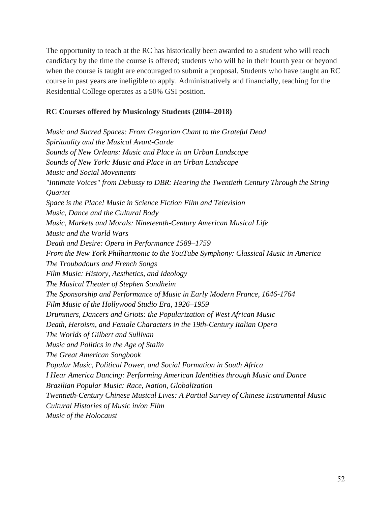The opportunity to teach at the RC has historically been awarded to a student who will reach candidacy by the time the course is offered; students who will be in their fourth year or beyond when the course is taught are encouraged to submit a proposal. Students who have taught an RC course in past years are ineligible to apply. Administratively and financially, teaching for the Residential College operates as a 50% GSI position.

#### **RC Courses offered by Musicology Students (2004–2018)**

*Music and Sacred Spaces: From Gregorian Chant to the Grateful Dead Spirituality and the Musical Avant-Garde Sounds of New Orleans: Music and Place in an Urban Landscape Sounds of New York: Music and Place in an Urban Landscape Music and Social Movements "Intimate Voices" from Debussy to DBR: Hearing the Twentieth Century Through the String Quartet Space is the Place! Music in Science Fiction Film and Television Music, Dance and the Cultural Body Music, Markets and Morals: Nineteenth-Century American Musical Life Music and the World Wars Death and Desire: Opera in Performance 1589–1759 From the New York Philharmonic to the YouTube Symphony: Classical Music in America The Troubadours and French Songs Film Music: History, Aesthetics, and Ideology The Musical Theater of Stephen Sondheim The Sponsorship and Performance of Music in Early Modern France, 1646-1764 Film Music of the Hollywood Studio Era, 1926–1959 Drummers, Dancers and Griots: the Popularization of West African Music Death, Heroism, and Female Characters in the 19th-Century Italian Opera The Worlds of Gilbert and Sullivan Music and Politics in the Age of Stalin The Great American Songbook Popular Music, Political Power, and Social Formation in South Africa I Hear America Dancing: Performing American Identities through Music and Dance Brazilian Popular Music: Race, Nation, Globalization Twentieth-Century Chinese Musical Lives: A Partial Survey of Chinese Instrumental Music Cultural Histories of Music in/on Film Music of the Holocaust*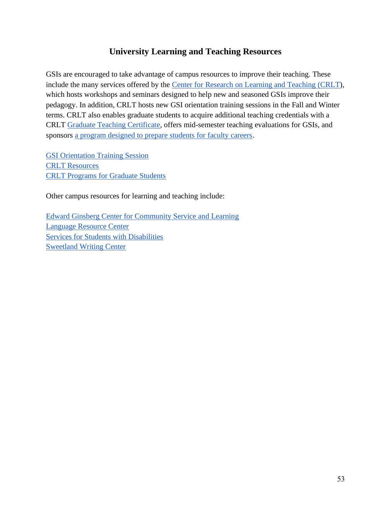## **University Learning and Teaching Resources**

GSIs are encouraged to take advantage of campus resources to improve their teaching. These include the many services offered by the [Center for Research on Learning and Teaching](http://www.crlt.umich.edu/) (CRLT), which hosts workshops and seminars designed to help new and seasoned GSIs improve their pedagogy. In addition, CRLT hosts new GSI orientation training sessions in the Fall and Winter terms. CRLT also enables graduate students to acquire additional teaching credentials with a CRLT [Graduate Teaching Certificate,](http://crlt.umich.edu/um.gtc/introduction_to_program) offers mid-semester teaching evaluations for GSIs, and sponsors [a program designed to prepare students for faculty careers.](http://www.crlt.umich.edu/programs/pff)

[GSI Orientation Training Session](http://www.crlt.umich.edu/gsis/gsio) [CRLT Resources](http://www.crlt.umich.edu/resources) [CRLT Programs for Graduate Students](http://www.crlt.umich.edu/programs-services/graduate-students-post-docs)

Other campus resources for learning and teaching include:

[Edward Ginsberg Center for Community Service and Learning](http://www.umich.edu/~mserve/) [Language Resource Center](http://www.umich.edu/~langres/) [Services for Students with Disabilities](http://www.umich.edu/~sswd/) [Sweetland Writing Center](https://lsa.umich.edu/sweetland)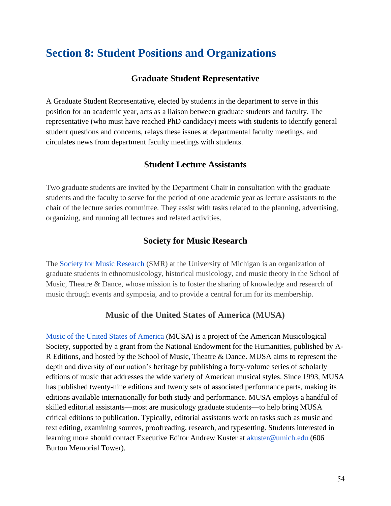# **Section 8: Student Positions and Organizations**

## **Graduate Student Representative**

A Graduate Student Representative, elected by students in the department to serve in this position for an academic year, acts as a liaison between graduate students and faculty. The representative (who must have reached PhD candidacy) meets with students to identify general student questions and concerns, relays these issues at departmental faculty meetings, and circulates news from department faculty meetings with students.

## **Student Lecture Assistants**

Two graduate students are invited by the Department Chair in consultation with the graduate students and the faculty to serve for the period of one academic year as lecture assistants to the chair of the lecture series committee. They assist with tasks related to the planning, advertising, organizing, and running all lectures and related activities.

## **Society for Music Research**

The [Society for Music Research](https://societyformusicresearch.com/) (SMR) at the University of Michigan is an organization of graduate students in ethnomusicology, historical musicology, and music theory in the School of Music, Theatre & Dance, whose mission is to foster the sharing of knowledge and research of music through events and symposia, and to provide a central forum for its membership.

## **Music of the United States of America (MUSA)**

[Music of the United States of America](https://sites.google.com/a/umich.edu/musa/home) (MUSA) is a project of the American Musicological Society, supported by a grant from the National Endowment for the Humanities, published by A-R Editions, and hosted by the School of Music, Theatre & Dance. MUSA aims to represent the depth and diversity of our nation's heritage by publishing a forty-volume series of scholarly editions of music that addresses the wide variety of American musical styles. Since 1993, MUSA has published twenty-nine editions and twenty sets of associated performance parts, making its editions available internationally for both study and performance. MUSA employs a handful of skilled editorial assistants—most are musicology graduate students—to help bring MUSA critical editions to publication. Typically, editorial assistants work on tasks such as music and text editing, examining sources, proofreading, research, and typesetting. Students interested in learning more should contact Executive Editor Andrew Kuster at akuster@umich.edu (606) Burton Memorial Tower).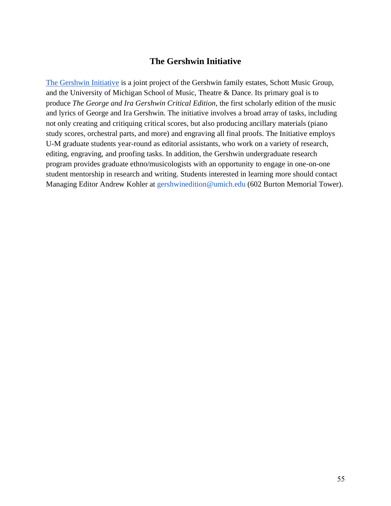### **The Gershwin Initiative**

[The Gershwin Initiative](http://smtd.umich.edu/gershwin) is a joint project of the Gershwin family estates, Schott Music Group, and the University of Michigan School of Music, Theatre & Dance. Its primary goal is to produce *The George and Ira Gershwin Critical Edition*, the first scholarly edition of the music and lyrics of George and Ira Gershwin. The initiative involves a broad array of tasks, including not only creating and critiquing critical scores, but also producing ancillary materials (piano study scores, orchestral parts, and more) and engraving all final proofs. The Initiative employs U-M graduate students year-round as editorial assistants, who work on a variety of research, editing, engraving, and proofing tasks. In addition, the Gershwin undergraduate research program provides graduate ethno/musicologists with an opportunity to engage in one-on-one student mentorship in research and writing. Students interested in learning more should contact Managing Editor Andrew Kohler at gershwinedition@umich.edu (602 Burton Memorial Tower).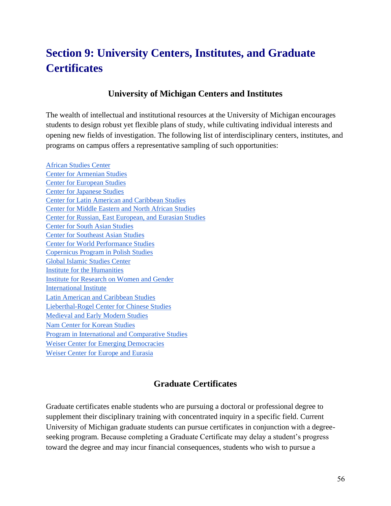# **Section 9: University Centers, Institutes, and Graduate Certificates**

## **University of Michigan Centers and Institutes**

The wealth of intellectual and institutional resources at the University of Michigan encourages students to design robust yet flexible plans of study, while cultivating individual interests and opening new fields of investigation. The following list of interdisciplinary centers, institutes, and programs on campus offers a representative sampling of such opportunities:

[African Studies Center](https://www.lsa.umich.edu/asc) [Center for Armenian Studies](https://ii.umich.edu/content/ii-directory/armenian/en.html) [Center for European Studies](https://www.lsa.umich.edu/ces) [Center for Japanese Studies](https://www.lsa.umich.edu/cjs) [Center for Latin American and Caribbean Studies](https://www.lsa.umich.edu/lacs) [Center for Middle Eastern and North African Studies](https://www.lsa.umich.edu/cmenas) [Center for Russian, East European, and Eurasian Studies](https://www.lsa.umich.edu/crees) [Center for South Asian Studies](https://www.lsa.umich.edu/csas) [Center for Southeast Asian Studies](https://www.lsa.umich.edu/cseas) [Center for World Performance Studies](https://lsa.umich.edu/world-performance) [Copernicus Program in Polish Studies](https://www.lsa.umich.edu/crees/polishstudies) [Global Islamic Studies Center](https://ii.umich.edu/content/ii-directory/islamicstudies/en.html) [Institute for the Humanities](https://lsa.umich.edu/humanities)  [Institute for Research on Women and Gender](http://irwg.umich.edu/) [International Institute](http://www.ii.umich.edu/)  [Latin American and Caribbean Studies](http://www.ii.umich.edu/lacs/)  [Lieberthal-Rogel Center for Chinese Studies](https://www.lsa.umich.edu/lrccs) [Medieval and Early Modern Studies](http://www.lsa.umich.edu/mems/)  [Nam Center for Korean Studies](https://www.lsa.umich.edu/ncks) [Program in International and Comparative Studies](https://www.lsa.umich.edu/pics) [Weiser Center for Emerging Democracies](https://www.lsa.umich.edu/wced) [Weiser Center for Europe and Eurasia](https://www.lsa.umich.edu/wcee)

## **Graduate Certificates**

Graduate certificates enable students who are pursuing a doctoral or professional degree to supplement their disciplinary training with concentrated inquiry in a specific field. Current University of Michigan graduate students can pursue certificates in conjunction with a degreeseeking program. Because completing a Graduate Certificate may delay a student's progress toward the degree and may incur financial consequences, students who wish to pursue a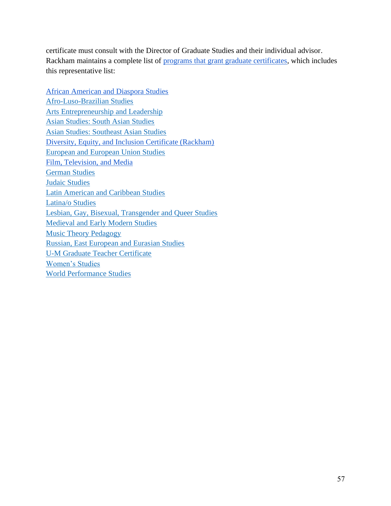certificate must consult with the Director of Graduate Studies and their individual advisor. Rackham maintains a complete list of [programs that grant graduate certificates,](https://rackham.umich.edu/programs-of-study/certificate-programs/) which includes this representative list:

[African American and Diaspora Studies](https://lsa.umich.edu/daas/graduates/african-american-diasporic-studies-certificate.html) [Afro-Luso-Brazilian Studies](https://lsa.umich.edu/rll/graduates/graduate-certificate-program-in-afro-luso-brazilian-studies.html) [Arts Entrepreneurship and Leadership](http://smtd.umich.edu/departments/entrepreneurship-leadership/grad-cert.htm) [Asian Studies: South Asian Studies](http://www.ii.umich.edu/cseas/students/graduate/graduate-certificate.html) [Asian Studies: Southeast Asian Studies](http://www.ii.umich.edu/cseas/students/graduate/graduate-certificate.html) [Diversity, Equity, and Inclusion Certificate \(Rackham\)](https://rackham.umich.edu/professional-development/dei-certificate/) [European and European Union Studies](http://www.ii.umich.edu/ces/graduates/graduate-certificate.html) [Film, Television, and Media](https://lsa.umich.edu/ftvm/graduates/prospective-students/graduate-certificate.html)  [German Studies](http://lsa.umich.edu/german/graduate-students/graduate-certificate.html) [Judaic Studies](http://lsa.umich.edu/judaic/graduates/graduate-certificate-program.html) [Latin American and Caribbean Studies](http://www.ii.umich.edu/lacs/students/grad-program/grad-certificate.html) [Latina/o Studies](http://lsa.umich.edu/latina/graduates/graduate-certificate.html) [Lesbian, Gay, Bisexual, Transgender and Queer Studies](http://lsa.umich.edu/women/graduates/graduate-certificate-programs/lgbtq-studies.html) [Medieval and Early Modern Studies](http://lsa.umich.edu/mems/graduates/certificate-program.html) [Music Theory Pedagogy](http://smtd.umich.edu/departments/mustheory/cert_theory_pedagogy.htm) [Russian, East European and Eurasian Studies](http://www.ii.umich.edu/crees/graduates/rees-graduate-certificate.html) [U-M Graduate Teacher Certificate](http://crlt.umich.edu/um.gtc/introduction_to_program) [Women's Studies](http://lsa.umich.edu/women/graduates/graduate-certificate-programs.html) [World Performance Studies](http://lsa.umich.edu/world-performance/graduates/graduate-certificate-in-world-performance-studies.html)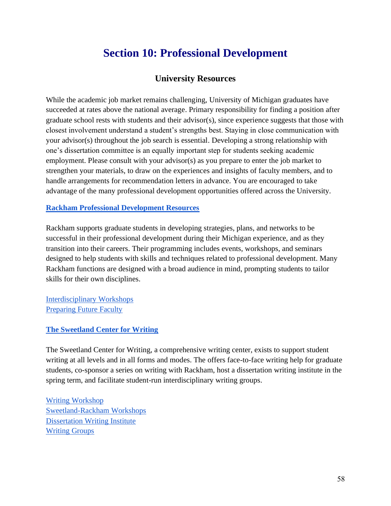## **Section 10: Professional Development**

## **University Resources**

While the academic job market remains challenging, University of Michigan graduates have succeeded at rates above the national average. Primary responsibility for finding a position after graduate school rests with students and their advisor(s), since experience suggests that those with closest involvement understand a student's strengths best. Staying in close communication with your advisor(s) throughout the job search is essential. Developing a strong relationship with one's dissertation committee is an equally important step for students seeking academic employment. Please consult with your advisor(s) as you prepare to enter the job market to strengthen your materials, to draw on the experiences and insights of faculty members, and to handle arrangements for recommendation letters in advance. You are encouraged to take advantage of the many professional development opportunities offered across the University.

#### **[Rackham Professional Development Resources](https://rackham.umich.edu/professional-development/)**

Rackham supports graduate students in developing strategies, plans, and networks to be successful in their professional development during their Michigan experience, and as they transition into their careers. Their programming includes events, workshops, and seminars designed to help students with skills and techniques related to professional development. Many Rackham functions are designed with a broad audience in mind, prompting students to tailor skills for their own disciplines.

[Interdisciplinary Workshops](http://www.rackham.umich.edu/academics/rii/interdisciplinary-workshops#overview) [Preparing Future Faculty](http://www.crlt.umich.edu/programs/pff)

#### **[The Sweetland Center for Writing](https://lsa.umich.edu/sweetland)**

The Sweetland Center for Writing, a comprehensive writing center, exists to support student writing at all levels and in all forms and modes. The offers face-to-face writing help for graduate students, co-sponsor a series on writing with Rackham, host a dissertation writing institute in the spring term, and facilitate student-run interdisciplinary writing groups.

[Writing Workshop](https://lsa.umich.edu/sweetland/graduates/writing-workshop.html) [Sweetland-Rackham Workshops](https://lsa.umich.edu/sweetland/graduates/sweetland-rackham-workshops.html) [Dissertation Writing Institute](https://lsa.umich.edu/sweetland/graduates/dissertation-writing-institute.html) [Writing Groups](https://lsa.umich.edu/sweetland/graduates/writing-groups.html)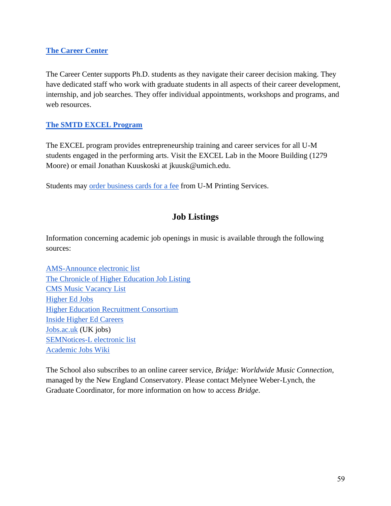#### **[The Career Center](http://careercenter.umich.edu/content/masters-phd-students)**

The Career Center supports Ph.D. students as they navigate their career decision making. They have dedicated staff who work with graduate students in all aspects of their career development, internship, and job searches. They offer individual appointments, workshops and programs, and web resources.

#### **[The SMTD EXCEL Program](http://smtd.umich.edu/departments/entrepreneurship-leadership/excellab/)**

The EXCEL program provides entrepreneurship training and career services for all U-M students engaged in the performing arts. Visit the EXCEL Lab in the Moore Building (1279 Moore) or email Jonathan Kuuskoski at jkuusk@umich.edu.

Students may [order business cards for a fee](http://mbiz.bf.umich.edu/printingsvcs/onlinecatalogStudents.htm) from U-M Printing Services.

## **Job Listings**

Information concerning academic job openings in music is available through the following sources:

[AMS-Announce electronic list](https://www.amsmusicology.org/page/subscribe) [The Chronicle of Higher Education Job Listing](http://chronicle.com/section/Jobs/61/) [CMS Music Vacancy List](http://www.music.org/index.php?option=com_content&view=article&id=1462&Itemid=1249) [Higher Ed Jobs](https://www.higheredjobs.com/) [Higher Education Recruitment Consortium](http://www.hercjobs.org/) [Inside Higher Ed Careers](http://careers.insidehighered.com/) [Jobs.ac.uk](http://www.jobs.ac.uk/) (UK jobs) [SEMNotices-L electronic list](http://www.ethnomusicology.org/?Resources_ELists) [Academic Jobs Wiki](https://academicjobs.wikia.org/wiki/Musicology/Ethnomusicology_2020-21)

The School also subscribes to an online career service, *Bridge: Worldwide Music Connection*, managed by the New England Conservatory. Please contact Melynee Weber-Lynch, the Graduate Coordinator, for more information on how to access *Bridge*.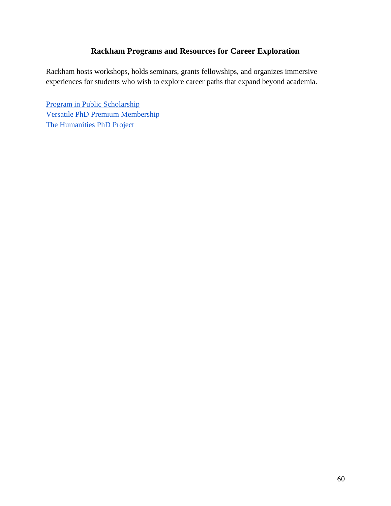## **Rackham Programs and Resources for Career Exploration**

Rackham hosts workshops, holds seminars, grants fellowships, and organizes immersive experiences for students who wish to explore career paths that expand beyond academia.

[Program in Public Scholarship](http://artsofcitizenship.umich.edu/) [Versatile PhD Premium Membership](https://careercenter.umich.edu/resource/595) [The Humanities PhD Project](https://sites.lsa.umich.edu/humanities-phd-proj/)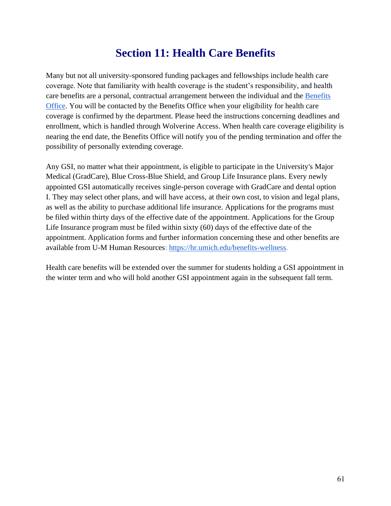# **Section 11: Health Care Benefits**

Many but not all university-sponsored funding packages and fellowships include health care coverage. Note that familiarity with health coverage is the student's responsibility, and health care benefits are a personal, contractual arrangement between the individual and the [Benefits](https://hr.umich.edu/benefits-wellness)  [Office.](https://hr.umich.edu/benefits-wellness) You will be contacted by the Benefits Office when your eligibility for health care coverage is confirmed by the department. Please heed the instructions concerning deadlines and enrollment, which is handled through Wolverine Access. When health care coverage eligibility is nearing the end date, the Benefits Office will notify you of the pending termination and offer the possibility of personally extending coverage.

Any GSI, no matter what their appointment, is eligible to participate in the University's Major Medical (GradCare), Blue Cross-Blue Shield, and Group Life Insurance plans. Every newly appointed GSI automatically receives single-person coverage with GradCare and dental option I. They may select other plans, and will have access, at their own cost, to vision and legal plans, as well as the ability to purchase additional life insurance. Applications for the programs must be filed within thirty days of the effective date of the appointment. Applications for the Group Life Insurance program must be filed within sixty (60) days of the effective date of the appointment. Application forms and further information concerning these and other benefits are available from U-M Human Resources: [https://hr.umich.edu/benefits-wellness.](https://hr.umich.edu/benefits-wellness)

Health care benefits will be extended over the summer for students holding a GSI appointment in the winter term and who will hold another GSI appointment again in the subsequent fall term.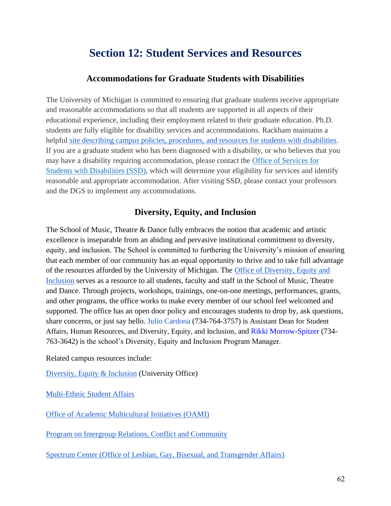# **Section 12: Student Services and Resources**

### **Accommodations for Graduate Students with Disabilities**

The University of Michigan is committed to ensuring that graduate students receive appropriate and reasonable accommodations so that all students are supported in all aspects of their educational experience, including their employment related to their graduate education. Ph.D. students are fully eligible for disability services and accommodations. Rackham maintains a helpful <u>site describing campus policies</u>, procedures, and resources for students with disabilities. If you are a graduate student who has been diagnosed with a disability, or who believes that you may have a disability requiring accommodation, please contact the [Office of Services for](https://ssd.umich.edu/)  [Students with Disabilities \(SSD\),](https://ssd.umich.edu/) which will determine your eligibility for services and identify reasonable and appropriate accommodation. After visiting SSD, please contact your professors and the DGS to implement any accommodations.

## **Diversity, Equity, and Inclusion**

The School of Music, Theatre & Dance fully embraces the notion that academic and artistic excellence is inseparable from an abiding and pervasive institutional commitment to diversity, equity, and inclusion. The School is committed to furthering the University's mission of ensuring that each member of our community has an equal opportunity to thrive and to take full advantage of the resources afforded by the University of Michigan. The [Office of Diversity, Equity and](https://smtd.umich.edu/about/diversity-equity-inclusion/)  [Inclusion](https://smtd.umich.edu/about/diversity-equity-inclusion/) serves as a resource to all students, faculty and staff in the School of Music, Theatre and Dance. Through projects, workshops, trainings, one-on-one meetings, performances, grants, and other programs, the office works to make every member of our school feel welcomed and supported. The office has an open door policy and encourages students to drop by, ask questions, share concerns, or just say hello. [Julio Cardona](mailto:jraya@umich.edu) (734-764-3757) is Assistant Dean for Student Affairs, Human Resources, and Diversity, Equity, and Inclusion, and [Rikki Morrow-Spitzer](mailto:rikkims@umich.edu) (734- 763-3642) is the school's Diversity, Equity and Inclusion Program Manager.

Related campus resources include:

[Diversity, Equity & Inclusion](http://diversity.umich.edu/) (University Office)

[Multi-Ethnic Student Affairs](http://www.umich.edu/~mesamss/)

[Office of Academic Multicultural Initiatives \(OAMI\)](http://www.oami.umich.edu/)

[Program on Intergroup Relations, Conflict and Community](http://www.umich.edu/~igrc/)

[Spectrum Center \(Office of Lesbian, Gay, Bisexual, and Transgender Affairs\)](http://spectrumcenter.umich.edu/)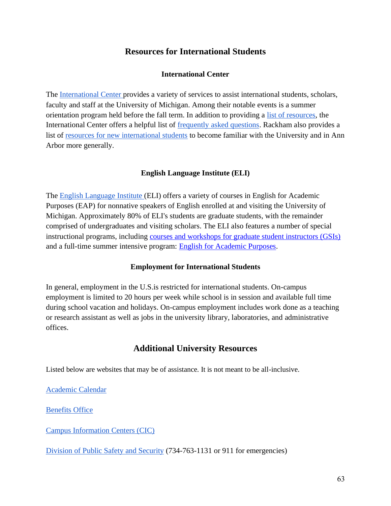### **Resources for International Students**

#### **International Center**

The [International Center p](https://internationalcenter.umich.edu/)rovides a variety of services to assist international students, scholars, faculty and staff at the University of Michigan. Among their notable events is a summer orientation program held before the fall term. In addition to providing a [list of resources,](https://internationalcenter.umich.edu/resources) the International Center offers a helpful list of [frequently asked questions.](http://internationalcenter.umich.edu/intlstudents/faq.html) Rackham also provides a list of [resources for new international students](http://www.rackham.umich.edu/current-students/community-resources/international) to become familiar with the University and in Ann Arbor more generally.

#### **English Language Institute (ELI)**

The [English Language Institute \(](http://www.lsa.umich.edu/eli)ELI) offers a variety of courses in English for Academic Purposes (EAP) for nonnative speakers of English enrolled at and visiting the University of Michigan. Approximately 80% of ELI's students are graduate students, with the remainder comprised of undergraduates and visiting scholars. The ELI also features a number of special instructional programs, including [courses and workshops for graduate student instructors \(GSIs\)](https://lsa.umich.edu/eli/grad-students-scholars.html) and a full-time summer intensive program: [English for Academic Purposes.](https://lsa.umich.edu/eli/summer-programs)

#### **Employment for International Students**

In general, employment in the U.S.is restricted for international students. On-campus employment is limited to 20 hours per week while school is in session and available full time during school vacation and holidays. On-campus employment includes work done as a teaching or research assistant as well as jobs in the university library, laboratories, and administrative offices.

#### **Additional University Resources**

Listed below are websites that may be of assistance. It is not meant to be all-inclusive.

[Academic Calendar](http://ro.umich.edu/calendar/)

[Benefits Office](http://www.umich.edu/~benefits)

[Campus Information Centers \(CIC\)](http://campusinfo.umich.edu/)

Division [of Public Safety](http://www.dpss.umich.edu/) and Security (734-763-1131 or 911 for emergencies)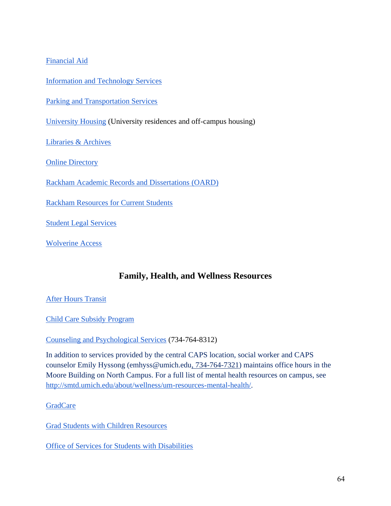[Financial Aid](https://finaid.umich.edu/graduate-students/)

[Information and Technology Services](http://www.itcs.umich.edu/)

[Parking and Transportation Services](http://ltp.umich.edu/)

[University Housing](http://www.housing.umich.edu/) (University residences and off-campus housing)

[Libraries & Archives](https://www.lib.umich.edu/)

**[Online Directory](http://directory.umich.edu/)** 

[Rackham Academic Records and Dissertations \(OARD\)](https://rackham.umich.edu/about/directory/academic-records-dissertations/)

[Rackham Resources for Current Students](https://rackham.umich.edu/current-students/)

[Student Legal Services](https://studentlegalservices.umich.edu/)

[Wolverine Access](http://wolverineaccess.umich.edu/)

#### **Family, Health, and Wellness Resources**

[After Hours Transit](https://ltp.umich.edu/campus-transit/after-hours/) 

[Child Care Subsidy Program](http://finaid.umich.edu/child-care-subsidy/)

[Counseling and Psychological Services](http://www.umich.edu/~caps/) (734-764-8312)

In addition to services provided by the central CAPS location, social worker and CAPS counselor Emily Hyssong (emhyss@umich.edu, 734-764-7321) maintains office hours in the Moore Building on North Campus. For a full list of mental health resources on campus, see [http://smtd.umich.edu/about/wellness/um-resources-mental-health/.](http://smtd.umich.edu/about/wellness/um-resources-mental-health/)

**[GradCare](https://hr.umich.edu/benefits-wellness/health/health-plans/gradcare)** 

[Grad Students with Children Resources](http://www.rackham.umich.edu/current-students/community-resources/grad-parents)

[Office of Services for Students with Disabilities](http://www.umich.edu/~sswd/)